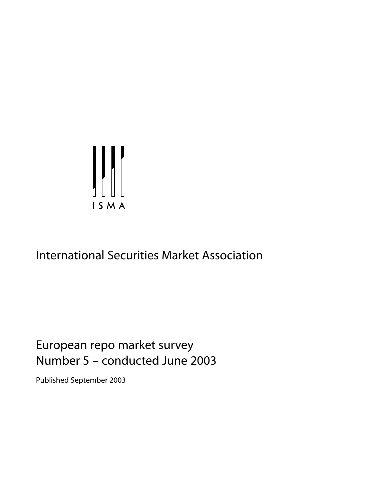

# International Securities Market Association

# European repo market survey Number 5 – conducted June 2003

Published September 2003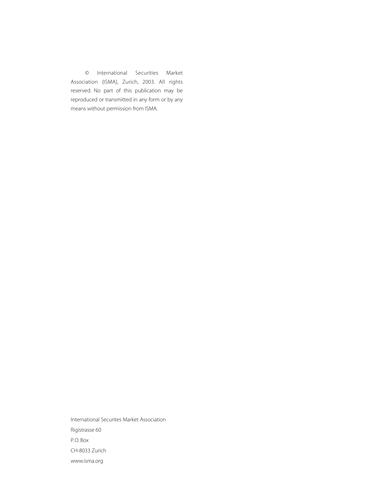© International Securities Market Association (ISMA), Zurich, 2003. All rights reserved. No part of this publication may be reproduced or transmitted in any form or by any means without permission from ISMA.

International Securites Market Association Rigistrasse 60 P. O. Box CH-8033 Zurich www.isma.org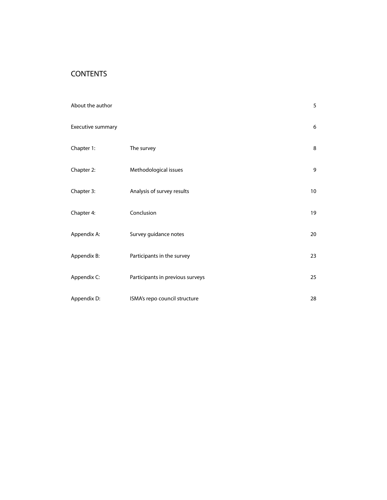# **CONTENTS**

| About the author  |                                  | 5  |
|-------------------|----------------------------------|----|
| Executive summary |                                  | 6  |
| Chapter 1:        | The survey                       | 8  |
| Chapter 2:        | Methodological issues            | 9  |
| Chapter 3:        | Analysis of survey results       | 10 |
| Chapter 4:        | Conclusion                       | 19 |
| Appendix A:       | Survey guidance notes            | 20 |
| Appendix B:       | Participants in the survey       | 23 |
| Appendix C:       | Participants in previous surveys | 25 |
| Appendix D:       | ISMA's repo council structure    | 28 |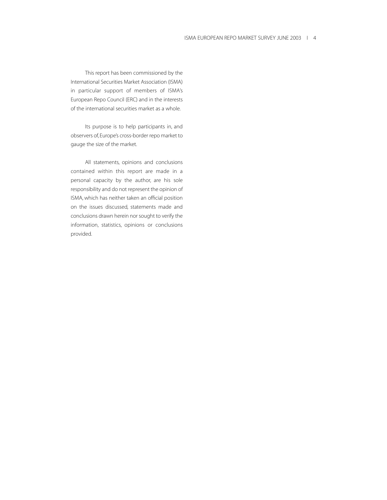This report has been commissioned by the International Securities Market Association (ISMA) in particular support of members of ISMA's European Repo Council (ERC) and in the interests of the international securities market as a whole.

Its purpose is to help participants in, and observers of, Europe's cross-border repo market to gauge the size of the market.

All statements, opinions and conclusions contained within this report are made in a personal capacity by the author, are his sole responsibility and do not represent the opinion of ISMA, which has neither taken an official position on the issues discussed, statements made and conclusions drawn herein nor sought to verify the information, statistics, opinions or conclusions provided.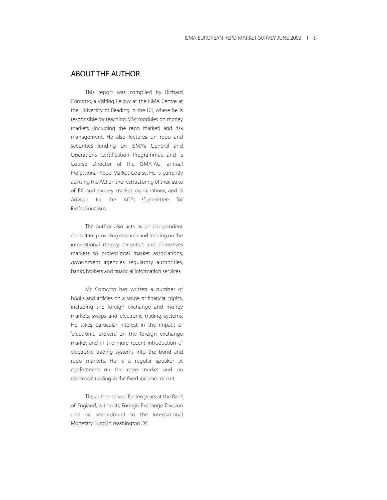## ABOUT THE AUTHOR

This report was compiled by Richard Comotto, a Visiting Fellow at the ISMA Centre at the University of Reading in the UK, where he is responsible for teaching MSc modules on money markets (including the repo market) and risk management. He also lectures on repo and securities lending on ISMA's General and Operations Certification Programmes, and is Course Director of the ISMA-ACI annual Professional Repo Market Course. He is currently advising the ACI on the restructuring of their suite of FX and money market examinations, and is Adviser to the ACI's Committee for Professionalism.

The author also acts as an independent consultant providing research and training on the international money, securities and derivatives markets to professional market associations, government agencies, regulatory authorities, banks, brokers and financial information services.

Mr. Comotto has written a number of books and articles on a range of financial topics, including the foreign exchange and money markets, swaps and electronic trading systems. He takes particular interest in the impact of 'electronic brokers' on the foreign exchange market and in the more recent introduction of electronic trading systems into the bond and repo markets. He is a regular speaker at conferences on the repo market and on electronic trading in the fixed-income market.

The author served for ten years at the Bank of England, within its Foreign Exchange Division and on secondment to the International Monetary Fund in Washington DC.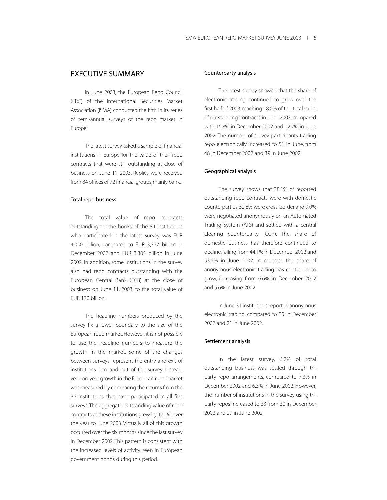## EXECUTIVE SUMMARY

In June 2003, the European Repo Council (ERC) of the International Securities Market Association (ISMA) conducted the fifth in its series of semi-annual surveys of the repo market in Europe.

The latest survey asked a sample of financial institutions in Europe for the value of their repo contracts that were still outstanding at close of business on June 11, 2003. Replies were received from 84 offices of 72 financial groups, mainly banks.

#### Total repo business

The total value of repo contracts outstanding on the books of the 84 institutions who participated in the latest survey was EUR 4,050 billion, compared to EUR 3,377 billion in December 2002 and EUR 3,305 billion in June 2002. In addition, some institutions in the survey also had repo contracts outstanding with the European Central Bank (ECB) at the close of business on June 11, 2003, to the total value of EUR 170 billion.

The headline numbers produced by the survey fix a lower boundary to the size of the European repo market. However, it is not possible to use the headline numbers to measure the growth in the market. Some of the changes between surveys represent the entry and exit of institutions into and out of the survey. Instead, year-on-year growth in the European repo market was measured by comparing the returns from the 36 institutions that have participated in all five surveys. The aggregate outstanding value of repo contracts at these institutions grew by 17.1% over the year to June 2003. Virtually all of this growth occurred over the six months since the last survey in December 2002. This pattern is consistent with the increased levels of activity seen in European government bonds during this period.

#### Counterparty analysis

The latest survey showed that the share of electronic trading continued to grow over the first half of 2003, reaching 18.0% of the total value of outstanding contracts in June 2003, compared with 16.8% in December 2002 and 12.7% in June 2002. The number of survey participants trading repo electronically increased to 51 in June, from 48 in December 2002 and 39 in June 2002.

#### Geographical analysis

The survey shows that 38.1% of reported outstanding repo contracts were with domestic counterparties, 52.8% were cross-border and 9.0% were negotiated anonymously on an Automated Trading System (ATS) and settled with a central clearing counterparty (CCP). The share of domestic business has therefore continued to decline, falling from 44.1% in December 2002 and 53.2% in June 2002. In contrast, the share of anonymous electronic trading has continued to grow, increasing from 6.6% in December 2002 and 5.6% in June 2002.

In June, 31 institutions reported anonymous electronic trading, compared to 35 in December 2002 and 21 in June 2002.

#### Settlement analysis

In the latest survey, 6.2% of total outstanding business was settled through triparty repo arrangements, compared to 7.3% in December 2002 and 6.3% in June 2002. However, the number of institutions in the survey using triparty repos increased to 33 from 30 in December 2002 and 29 in June 2002.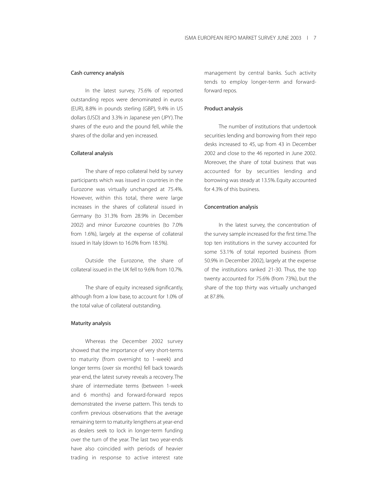#### Cash currency analysis

In the latest survey, 75.6% of reported outstanding repos were denominated in euros (EUR), 8.8% in pounds sterling (GBP), 9.4% in US dollars (USD) and 3.3% in Japanese yen (JPY). The shares of the euro and the pound fell, while the shares of the dollar and yen increased.

## Collateral analysis

The share of repo collateral held by survey participants which was issued in countries in the Eurozone was virtually unchanged at 75.4%. However, within this total, there were large increases in the shares of collateral issued in Germany (to 31.3% from 28.9% in December 2002) and minor Eurozone countries (to 7.0% from 1.6%), largely at the expense of collateral issued in Italy (down to 16.0% from 18.5%).

Outside the Eurozone, the share of collateral issued in the UK fell to 9.6% from 10.7%.

The share of equity increased significantly, although from a low base, to account for 1.0% of the total value of collateral outstanding.

#### Maturity analysis

Whereas the December 2002 survey showed that the importance of very short-terms to maturity (from overnight to 1-week) and longer terms (over six months) fell back towards year-end, the latest survey reveals a recovery. The share of intermediate terms (between 1-week and 6 months) and forward-forward repos demonstrated the inverse pattern. This tends to confirm previous observations that the average remaining term to maturity lengthens at year-end as dealers seek to lock in longer-term funding over the turn of the year. The last two year-ends have also coincided with periods of heavier trading in response to active interest rate

management by central banks. Such activity tends to employ longer-term and forwardforward repos.

#### Product analysis

The number of institutions that undertook securities lending and borrowing from their repo desks increased to 45, up from 43 in December 2002 and close to the 46 reported in June 2002. Moreover, the share of total business that was accounted for by securities lending and borrowing was steady at 13.5%. Equity accounted for 4.3% of this business.

#### Concentration analysis

In the latest survey, the concentration of the survey sample increased for the first time.The top ten institutions in the survey accounted for some 53.1% of total reported business (from 50.9% in December 2002), largely at the expense of the institutions ranked 21-30. Thus, the top twenty accounted for 75.6% (from 73%), but the share of the top thirty was virtually unchanged at 87.8%.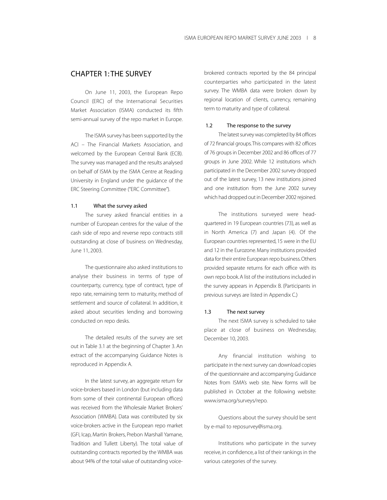## CHAPTER 1: THE SURVEY

On June 11, 2003, the European Repo Council (ERC) of the International Securities Market Association (ISMA) conducted its fifth semi-annual survey of the repo market in Europe.

The ISMA survey has been supported by the ACI – The Financial Markets Association, and welcomed by the European Central Bank (ECB). The survey was managed and the results analysed on behalf of ISMA by the ISMA Centre at Reading University in England under the guidance of the ERC Steering Committee ("ERC Committee").

#### 1.1 What the survey asked

The survey asked financial entities in a number of European centres for the value of the cash side of repo and reverse repo contracts still outstanding at close of business on Wednesday, June 11, 2003.

The questionnaire also asked institutions to analyse their business in terms of type of counterparty, currency, type of contract, type of repo rate, remaining term to maturity, method of settlement and source of collateral. In addition, it asked about securities lending and borrowing conducted on repo desks.

The detailed results of the survey are set out in Table 3.1 at the beginning of Chapter 3. An extract of the accompanying Guidance Notes is reproduced in Appendix A.

In the latest survey, an aggregate return for voice-brokers based in London (but including data from some of their continental European offices) was received from the Wholesale Market Brokers' Association (WMBA). Data was contributed by six voice-brokers active in the European repo market (GFI, Icap, Martin Brokers, Prebon Marshall Yamane, Tradition and Tullett Liberty). The total value of outstanding contracts reported by the WMBA was about 94% of the total value of outstanding voicebrokered contracts reported by the 84 principal counterparties who participated in the latest survey. The WMBA data were broken down by regional location of clients, currency, remaining term to maturity and type of collateral.

#### 1.2 The response to the survey

The latest survey was completed by 84 offices of 72 financial groups.This compares with 82 offices of 76 groups in December 2002 and 86 offices of 77 groups in June 2002. While 12 institutions which participated in the December 2002 survey dropped out of the latest survey, 13 new institutions joined and one institution from the June 2002 survey which had dropped out in December 2002 rejoined.

The institutions surveyed were headquartered in 19 European countries (73), as well as in North America (7) and Japan (4). Of the European countries represented, 15 were in the EU and 12 in the Eurozone. Many institutions provided data for their entire European repo business.Others provided separate returns for each office with its own repo book. A list of the institutions included in the survey appears in Appendix B. (Participants in previous surveys are listed in Appendix C.)

## 1.3 The next survey

The next ISMA survey is scheduled to take place at close of business on Wednesday, December 10, 2003.

Any financial institution wishing to participate in the next survey can download copies of the questionnaire and accompanying Guidance Notes from ISMA's web site. New forms will be published in October at the following website: www.isma.org/surveys/repo.

Questions about the survey should be sent by e-mail to reposurvey@isma.org.

Institutions who participate in the survey receive, in confidence, a list of their rankings in the various categories of the survey.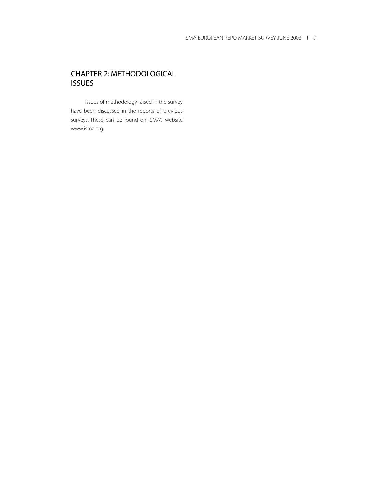## CHAPTER 2: METHODOLOGICAL ISSUES

Issues of methodology raised in the survey have been discussed in the reports of previous surveys. These can be found on ISMA's website www.isma.org.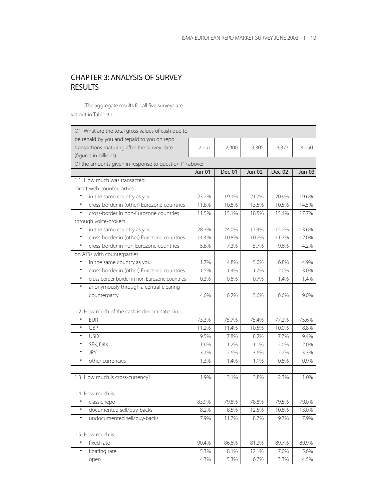# CHAPTER 3: ANALYSIS OF SURVEY RESULTS

The aggregate results for all five surveys are set out in Table 3.1.

| be repaid by you and repaid to you on repo<br>transactions maturing after the survey date<br>2,157<br>2,400<br>3,305<br>3,377<br>4,050<br>(figures in billions)<br>Of the amounts given in response to question (1) above:<br>Dec-01<br>Dec-02<br><b>Jun-01</b><br>Jun-02<br>Jun-03<br>1.1 How much was transacted:<br>direct with counterparties<br>$\bullet$<br>in the same country as you<br>23.2%<br>19.1%<br>21.7%<br>20.9%<br>19.6%<br>$\bullet$<br>cross-border in (other) Eurozone countries<br>14.5%<br>11.8%<br>10.8%<br>13.5%<br>10.5%<br>cross-border in non-Eurozone countries<br>$\bullet$<br>11.5%<br>15.1%<br>18.5%<br>15.4%<br>17.7%<br>through voice-brokers<br>$\bullet$<br>28.3%<br>24.0%<br>17.4%<br>15.2%<br>13.6%<br>in the same country as you<br>cross-border in (other) Eurozone countries<br>$\bullet$<br>11.4%<br>10.8%<br>10.2%<br>11.7%<br>12.0%<br>cross-border in non-Eurozone countries<br>٠<br>5.8%<br>7.3%<br>5.7%<br>9.6%<br>4.2%<br>on ATSs with counterparties<br>1.7%<br>4.9%<br>$\bullet$<br>in the same country as you<br>4.8%<br>5.0%<br>6.8%<br>$\bullet$<br>cross-border in (other) Eurozone countries<br>1.5%<br>1.7%<br>3.0%<br>1.4%<br>2.0%<br>cross border-border in non-Eurozone countries<br>$\bullet$<br>0.3%<br>0.6%<br>0.7%<br>1.4%<br>1.4%<br>anonymously through a central clearing<br>$\bullet$<br>counterparty<br>4.6%<br>6.2%<br>5.6%<br>6.6%<br>9.0%<br>1.2 How much of the cash is denominated in:<br><b>EUR</b><br>$\bullet$<br>73.3%<br>75.7%<br>75.4%<br>77.2%<br>75.6%<br>GBP<br>$\bullet$<br>11.2%<br>11.4%<br>10.5%<br>8.8%<br>10.0%<br><b>USD</b><br>$\bullet$<br>9.5%<br>7.8%<br>8.2%<br>7.7%<br>9.4%<br>$\bullet$<br>SEK, DKK<br>1.6%<br>1.2%<br>1.1%<br>2.0%<br>2.0%<br><b>JPY</b><br>$\bullet$<br>2.6%<br>2.2%<br>3.3%<br>3.1%<br>3.6%<br>$\bullet$<br>other currencies<br>1.3%<br>0.8%<br>0.9%<br>1.4%<br>1.1%<br>2.3%<br>1.3 How much is cross-currency?<br>1.9%<br>3.1%<br>3.8%<br>1.0%<br>1.4 How much is:<br>$\bullet$<br>83.9%<br>79.8%<br>78.8%<br>79.5%<br>79.0%<br>classic repo<br>documented sell/buy-backs<br>8.2%<br>8.5%<br>12.5%<br>10.8%<br>13.0%<br>undocumented sell/buy-backs<br>7.9%<br>٠<br>7.9%<br>11.7%<br>8.7%<br>9.7%<br>1.5 How much is:<br>fixed rate<br>$\bullet$<br>90.4%<br>86.6%<br>81.2%<br>89.7%<br>89.9%<br>floating rate<br>$\bullet$<br>5.3%<br>8.1%<br>12.1%<br>7.0%<br>5.6%<br>4.5%<br>4.3%<br>5.3%<br>6.7%<br>3.3%<br>open | Q1 What are the total gross values of cash due to |  |  |  |  |  |
|-----------------------------------------------------------------------------------------------------------------------------------------------------------------------------------------------------------------------------------------------------------------------------------------------------------------------------------------------------------------------------------------------------------------------------------------------------------------------------------------------------------------------------------------------------------------------------------------------------------------------------------------------------------------------------------------------------------------------------------------------------------------------------------------------------------------------------------------------------------------------------------------------------------------------------------------------------------------------------------------------------------------------------------------------------------------------------------------------------------------------------------------------------------------------------------------------------------------------------------------------------------------------------------------------------------------------------------------------------------------------------------------------------------------------------------------------------------------------------------------------------------------------------------------------------------------------------------------------------------------------------------------------------------------------------------------------------------------------------------------------------------------------------------------------------------------------------------------------------------------------------------------------------------------------------------------------------------------------------------------------------------------------------------------------------------------------------------------------------------------------------------------------------------------------------------------------------------------------------------------------------------------------------------------------------------------------------------------------------------------------------------------------------------------------------------------|---------------------------------------------------|--|--|--|--|--|
|                                                                                                                                                                                                                                                                                                                                                                                                                                                                                                                                                                                                                                                                                                                                                                                                                                                                                                                                                                                                                                                                                                                                                                                                                                                                                                                                                                                                                                                                                                                                                                                                                                                                                                                                                                                                                                                                                                                                                                                                                                                                                                                                                                                                                                                                                                                                                                                                                                         |                                                   |  |  |  |  |  |
|                                                                                                                                                                                                                                                                                                                                                                                                                                                                                                                                                                                                                                                                                                                                                                                                                                                                                                                                                                                                                                                                                                                                                                                                                                                                                                                                                                                                                                                                                                                                                                                                                                                                                                                                                                                                                                                                                                                                                                                                                                                                                                                                                                                                                                                                                                                                                                                                                                         |                                                   |  |  |  |  |  |
|                                                                                                                                                                                                                                                                                                                                                                                                                                                                                                                                                                                                                                                                                                                                                                                                                                                                                                                                                                                                                                                                                                                                                                                                                                                                                                                                                                                                                                                                                                                                                                                                                                                                                                                                                                                                                                                                                                                                                                                                                                                                                                                                                                                                                                                                                                                                                                                                                                         |                                                   |  |  |  |  |  |
|                                                                                                                                                                                                                                                                                                                                                                                                                                                                                                                                                                                                                                                                                                                                                                                                                                                                                                                                                                                                                                                                                                                                                                                                                                                                                                                                                                                                                                                                                                                                                                                                                                                                                                                                                                                                                                                                                                                                                                                                                                                                                                                                                                                                                                                                                                                                                                                                                                         |                                                   |  |  |  |  |  |
|                                                                                                                                                                                                                                                                                                                                                                                                                                                                                                                                                                                                                                                                                                                                                                                                                                                                                                                                                                                                                                                                                                                                                                                                                                                                                                                                                                                                                                                                                                                                                                                                                                                                                                                                                                                                                                                                                                                                                                                                                                                                                                                                                                                                                                                                                                                                                                                                                                         |                                                   |  |  |  |  |  |
|                                                                                                                                                                                                                                                                                                                                                                                                                                                                                                                                                                                                                                                                                                                                                                                                                                                                                                                                                                                                                                                                                                                                                                                                                                                                                                                                                                                                                                                                                                                                                                                                                                                                                                                                                                                                                                                                                                                                                                                                                                                                                                                                                                                                                                                                                                                                                                                                                                         |                                                   |  |  |  |  |  |
|                                                                                                                                                                                                                                                                                                                                                                                                                                                                                                                                                                                                                                                                                                                                                                                                                                                                                                                                                                                                                                                                                                                                                                                                                                                                                                                                                                                                                                                                                                                                                                                                                                                                                                                                                                                                                                                                                                                                                                                                                                                                                                                                                                                                                                                                                                                                                                                                                                         |                                                   |  |  |  |  |  |
|                                                                                                                                                                                                                                                                                                                                                                                                                                                                                                                                                                                                                                                                                                                                                                                                                                                                                                                                                                                                                                                                                                                                                                                                                                                                                                                                                                                                                                                                                                                                                                                                                                                                                                                                                                                                                                                                                                                                                                                                                                                                                                                                                                                                                                                                                                                                                                                                                                         |                                                   |  |  |  |  |  |
|                                                                                                                                                                                                                                                                                                                                                                                                                                                                                                                                                                                                                                                                                                                                                                                                                                                                                                                                                                                                                                                                                                                                                                                                                                                                                                                                                                                                                                                                                                                                                                                                                                                                                                                                                                                                                                                                                                                                                                                                                                                                                                                                                                                                                                                                                                                                                                                                                                         |                                                   |  |  |  |  |  |
|                                                                                                                                                                                                                                                                                                                                                                                                                                                                                                                                                                                                                                                                                                                                                                                                                                                                                                                                                                                                                                                                                                                                                                                                                                                                                                                                                                                                                                                                                                                                                                                                                                                                                                                                                                                                                                                                                                                                                                                                                                                                                                                                                                                                                                                                                                                                                                                                                                         |                                                   |  |  |  |  |  |
|                                                                                                                                                                                                                                                                                                                                                                                                                                                                                                                                                                                                                                                                                                                                                                                                                                                                                                                                                                                                                                                                                                                                                                                                                                                                                                                                                                                                                                                                                                                                                                                                                                                                                                                                                                                                                                                                                                                                                                                                                                                                                                                                                                                                                                                                                                                                                                                                                                         |                                                   |  |  |  |  |  |
|                                                                                                                                                                                                                                                                                                                                                                                                                                                                                                                                                                                                                                                                                                                                                                                                                                                                                                                                                                                                                                                                                                                                                                                                                                                                                                                                                                                                                                                                                                                                                                                                                                                                                                                                                                                                                                                                                                                                                                                                                                                                                                                                                                                                                                                                                                                                                                                                                                         |                                                   |  |  |  |  |  |
|                                                                                                                                                                                                                                                                                                                                                                                                                                                                                                                                                                                                                                                                                                                                                                                                                                                                                                                                                                                                                                                                                                                                                                                                                                                                                                                                                                                                                                                                                                                                                                                                                                                                                                                                                                                                                                                                                                                                                                                                                                                                                                                                                                                                                                                                                                                                                                                                                                         |                                                   |  |  |  |  |  |
|                                                                                                                                                                                                                                                                                                                                                                                                                                                                                                                                                                                                                                                                                                                                                                                                                                                                                                                                                                                                                                                                                                                                                                                                                                                                                                                                                                                                                                                                                                                                                                                                                                                                                                                                                                                                                                                                                                                                                                                                                                                                                                                                                                                                                                                                                                                                                                                                                                         |                                                   |  |  |  |  |  |
|                                                                                                                                                                                                                                                                                                                                                                                                                                                                                                                                                                                                                                                                                                                                                                                                                                                                                                                                                                                                                                                                                                                                                                                                                                                                                                                                                                                                                                                                                                                                                                                                                                                                                                                                                                                                                                                                                                                                                                                                                                                                                                                                                                                                                                                                                                                                                                                                                                         |                                                   |  |  |  |  |  |
|                                                                                                                                                                                                                                                                                                                                                                                                                                                                                                                                                                                                                                                                                                                                                                                                                                                                                                                                                                                                                                                                                                                                                                                                                                                                                                                                                                                                                                                                                                                                                                                                                                                                                                                                                                                                                                                                                                                                                                                                                                                                                                                                                                                                                                                                                                                                                                                                                                         |                                                   |  |  |  |  |  |
|                                                                                                                                                                                                                                                                                                                                                                                                                                                                                                                                                                                                                                                                                                                                                                                                                                                                                                                                                                                                                                                                                                                                                                                                                                                                                                                                                                                                                                                                                                                                                                                                                                                                                                                                                                                                                                                                                                                                                                                                                                                                                                                                                                                                                                                                                                                                                                                                                                         |                                                   |  |  |  |  |  |
|                                                                                                                                                                                                                                                                                                                                                                                                                                                                                                                                                                                                                                                                                                                                                                                                                                                                                                                                                                                                                                                                                                                                                                                                                                                                                                                                                                                                                                                                                                                                                                                                                                                                                                                                                                                                                                                                                                                                                                                                                                                                                                                                                                                                                                                                                                                                                                                                                                         |                                                   |  |  |  |  |  |
|                                                                                                                                                                                                                                                                                                                                                                                                                                                                                                                                                                                                                                                                                                                                                                                                                                                                                                                                                                                                                                                                                                                                                                                                                                                                                                                                                                                                                                                                                                                                                                                                                                                                                                                                                                                                                                                                                                                                                                                                                                                                                                                                                                                                                                                                                                                                                                                                                                         |                                                   |  |  |  |  |  |
|                                                                                                                                                                                                                                                                                                                                                                                                                                                                                                                                                                                                                                                                                                                                                                                                                                                                                                                                                                                                                                                                                                                                                                                                                                                                                                                                                                                                                                                                                                                                                                                                                                                                                                                                                                                                                                                                                                                                                                                                                                                                                                                                                                                                                                                                                                                                                                                                                                         |                                                   |  |  |  |  |  |
|                                                                                                                                                                                                                                                                                                                                                                                                                                                                                                                                                                                                                                                                                                                                                                                                                                                                                                                                                                                                                                                                                                                                                                                                                                                                                                                                                                                                                                                                                                                                                                                                                                                                                                                                                                                                                                                                                                                                                                                                                                                                                                                                                                                                                                                                                                                                                                                                                                         |                                                   |  |  |  |  |  |
|                                                                                                                                                                                                                                                                                                                                                                                                                                                                                                                                                                                                                                                                                                                                                                                                                                                                                                                                                                                                                                                                                                                                                                                                                                                                                                                                                                                                                                                                                                                                                                                                                                                                                                                                                                                                                                                                                                                                                                                                                                                                                                                                                                                                                                                                                                                                                                                                                                         |                                                   |  |  |  |  |  |
|                                                                                                                                                                                                                                                                                                                                                                                                                                                                                                                                                                                                                                                                                                                                                                                                                                                                                                                                                                                                                                                                                                                                                                                                                                                                                                                                                                                                                                                                                                                                                                                                                                                                                                                                                                                                                                                                                                                                                                                                                                                                                                                                                                                                                                                                                                                                                                                                                                         |                                                   |  |  |  |  |  |
|                                                                                                                                                                                                                                                                                                                                                                                                                                                                                                                                                                                                                                                                                                                                                                                                                                                                                                                                                                                                                                                                                                                                                                                                                                                                                                                                                                                                                                                                                                                                                                                                                                                                                                                                                                                                                                                                                                                                                                                                                                                                                                                                                                                                                                                                                                                                                                                                                                         |                                                   |  |  |  |  |  |
|                                                                                                                                                                                                                                                                                                                                                                                                                                                                                                                                                                                                                                                                                                                                                                                                                                                                                                                                                                                                                                                                                                                                                                                                                                                                                                                                                                                                                                                                                                                                                                                                                                                                                                                                                                                                                                                                                                                                                                                                                                                                                                                                                                                                                                                                                                                                                                                                                                         |                                                   |  |  |  |  |  |
|                                                                                                                                                                                                                                                                                                                                                                                                                                                                                                                                                                                                                                                                                                                                                                                                                                                                                                                                                                                                                                                                                                                                                                                                                                                                                                                                                                                                                                                                                                                                                                                                                                                                                                                                                                                                                                                                                                                                                                                                                                                                                                                                                                                                                                                                                                                                                                                                                                         |                                                   |  |  |  |  |  |
|                                                                                                                                                                                                                                                                                                                                                                                                                                                                                                                                                                                                                                                                                                                                                                                                                                                                                                                                                                                                                                                                                                                                                                                                                                                                                                                                                                                                                                                                                                                                                                                                                                                                                                                                                                                                                                                                                                                                                                                                                                                                                                                                                                                                                                                                                                                                                                                                                                         |                                                   |  |  |  |  |  |
|                                                                                                                                                                                                                                                                                                                                                                                                                                                                                                                                                                                                                                                                                                                                                                                                                                                                                                                                                                                                                                                                                                                                                                                                                                                                                                                                                                                                                                                                                                                                                                                                                                                                                                                                                                                                                                                                                                                                                                                                                                                                                                                                                                                                                                                                                                                                                                                                                                         |                                                   |  |  |  |  |  |
|                                                                                                                                                                                                                                                                                                                                                                                                                                                                                                                                                                                                                                                                                                                                                                                                                                                                                                                                                                                                                                                                                                                                                                                                                                                                                                                                                                                                                                                                                                                                                                                                                                                                                                                                                                                                                                                                                                                                                                                                                                                                                                                                                                                                                                                                                                                                                                                                                                         |                                                   |  |  |  |  |  |
|                                                                                                                                                                                                                                                                                                                                                                                                                                                                                                                                                                                                                                                                                                                                                                                                                                                                                                                                                                                                                                                                                                                                                                                                                                                                                                                                                                                                                                                                                                                                                                                                                                                                                                                                                                                                                                                                                                                                                                                                                                                                                                                                                                                                                                                                                                                                                                                                                                         |                                                   |  |  |  |  |  |
|                                                                                                                                                                                                                                                                                                                                                                                                                                                                                                                                                                                                                                                                                                                                                                                                                                                                                                                                                                                                                                                                                                                                                                                                                                                                                                                                                                                                                                                                                                                                                                                                                                                                                                                                                                                                                                                                                                                                                                                                                                                                                                                                                                                                                                                                                                                                                                                                                                         |                                                   |  |  |  |  |  |
|                                                                                                                                                                                                                                                                                                                                                                                                                                                                                                                                                                                                                                                                                                                                                                                                                                                                                                                                                                                                                                                                                                                                                                                                                                                                                                                                                                                                                                                                                                                                                                                                                                                                                                                                                                                                                                                                                                                                                                                                                                                                                                                                                                                                                                                                                                                                                                                                                                         |                                                   |  |  |  |  |  |
|                                                                                                                                                                                                                                                                                                                                                                                                                                                                                                                                                                                                                                                                                                                                                                                                                                                                                                                                                                                                                                                                                                                                                                                                                                                                                                                                                                                                                                                                                                                                                                                                                                                                                                                                                                                                                                                                                                                                                                                                                                                                                                                                                                                                                                                                                                                                                                                                                                         |                                                   |  |  |  |  |  |
|                                                                                                                                                                                                                                                                                                                                                                                                                                                                                                                                                                                                                                                                                                                                                                                                                                                                                                                                                                                                                                                                                                                                                                                                                                                                                                                                                                                                                                                                                                                                                                                                                                                                                                                                                                                                                                                                                                                                                                                                                                                                                                                                                                                                                                                                                                                                                                                                                                         |                                                   |  |  |  |  |  |
|                                                                                                                                                                                                                                                                                                                                                                                                                                                                                                                                                                                                                                                                                                                                                                                                                                                                                                                                                                                                                                                                                                                                                                                                                                                                                                                                                                                                                                                                                                                                                                                                                                                                                                                                                                                                                                                                                                                                                                                                                                                                                                                                                                                                                                                                                                                                                                                                                                         |                                                   |  |  |  |  |  |
|                                                                                                                                                                                                                                                                                                                                                                                                                                                                                                                                                                                                                                                                                                                                                                                                                                                                                                                                                                                                                                                                                                                                                                                                                                                                                                                                                                                                                                                                                                                                                                                                                                                                                                                                                                                                                                                                                                                                                                                                                                                                                                                                                                                                                                                                                                                                                                                                                                         |                                                   |  |  |  |  |  |
|                                                                                                                                                                                                                                                                                                                                                                                                                                                                                                                                                                                                                                                                                                                                                                                                                                                                                                                                                                                                                                                                                                                                                                                                                                                                                                                                                                                                                                                                                                                                                                                                                                                                                                                                                                                                                                                                                                                                                                                                                                                                                                                                                                                                                                                                                                                                                                                                                                         |                                                   |  |  |  |  |  |
|                                                                                                                                                                                                                                                                                                                                                                                                                                                                                                                                                                                                                                                                                                                                                                                                                                                                                                                                                                                                                                                                                                                                                                                                                                                                                                                                                                                                                                                                                                                                                                                                                                                                                                                                                                                                                                                                                                                                                                                                                                                                                                                                                                                                                                                                                                                                                                                                                                         |                                                   |  |  |  |  |  |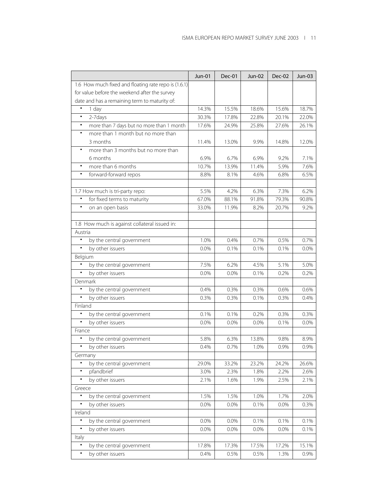| 1.6 How much fixed and floating rate repo is (1.6.1)<br>for value before the weekend after the survey<br>date and has a remaining term to maturity of:<br>$\bullet$<br>1 day<br>14.3%<br>15.5%<br>18.6%<br>15.6%<br>18.7%<br>2-7days<br>17.8%<br>20.1%<br>$\bullet$<br>30.3%<br>22.8%<br>22.0%<br>more than 7 days but no more than 1 month<br>24.9%<br>25.8%<br>27.6%<br>$\bullet$<br>17.6%<br>26.1%<br>more than 1 month but no more than<br>$\bullet$<br>3 months<br>14.8%<br>11.4%<br>13.0%<br>9.9%<br>12.0%<br>more than 3 months but no more than<br>$\bullet$<br>6 months<br>7.1%<br>6.9%<br>6.7%<br>6.9%<br>9.2%<br>5.9%<br>7.6%<br>$\bullet$<br>more than 6 months<br>10.7%<br>13.9%<br>11.4%<br>forward-forward repos<br>6.5%<br>$\bullet$<br>8.8%<br>8.1%<br>4.6%<br>6.8%<br>1.7 How much is tri-party repo:<br>5.5%<br>6.3%<br>7.3%<br>6.2%<br>4.2%<br>for fixed terms to maturity<br>91.8%<br>79.3%<br>$\bullet$<br>67.0%<br>88.1%<br>90.8%<br>$\bullet$<br>on an open basis<br>11.9%<br>20.7%<br>33.0%<br>8.2%<br>9.2%<br>1.8 How much is against collateral issued in:<br>Austria<br>$\bullet$<br>by the central government<br>0.7%<br>1.0%<br>0.4%<br>0.7%<br>0.5%<br>by other issuers<br>$\bullet$<br>0.0%<br>0.1%<br>0.1%<br>0.1%<br>0.0%<br>Belgium<br>$\bullet$<br>by the central government<br>5.1%<br>7.5%<br>6.2%<br>4.5%<br>5.0%<br>by other issuers<br>$\bullet$<br>0.2%<br>0.0%<br>0.0%<br>0.1%<br>0.2%<br>Denmark<br>$\bullet$<br>by the central government<br>0.3%<br>0.3%<br>0.6%<br>0.4%<br>0.6%<br>by other issuers<br>0.3%<br>0.3%<br>0.1%<br>0.3%<br>0.4%<br>٠<br>Finland<br>$\bullet$<br>by the central government<br>0.1%<br>0.1%<br>0.2%<br>0.3%<br>0.3%<br>by other issuers<br>$\bullet$<br>0.0%<br>0.0%<br>0.0%<br>0.1%<br>$0.0\%$<br>France<br>by the central government<br>5.8%<br>6.3%<br>13.8%<br>8.9%<br>$\bullet$<br>9.8%<br>by other issuers<br>$\bullet$<br>0.4%<br>0.7%<br>1.0%<br>0.9%<br>0.9%<br>Germany<br>$\bullet$<br>by the central government<br>29.0%<br>33.2%<br>23.2%<br>24.2%<br>26.6% |
|--------------------------------------------------------------------------------------------------------------------------------------------------------------------------------------------------------------------------------------------------------------------------------------------------------------------------------------------------------------------------------------------------------------------------------------------------------------------------------------------------------------------------------------------------------------------------------------------------------------------------------------------------------------------------------------------------------------------------------------------------------------------------------------------------------------------------------------------------------------------------------------------------------------------------------------------------------------------------------------------------------------------------------------------------------------------------------------------------------------------------------------------------------------------------------------------------------------------------------------------------------------------------------------------------------------------------------------------------------------------------------------------------------------------------------------------------------------------------------------------------------------------------------------------------------------------------------------------------------------------------------------------------------------------------------------------------------------------------------------------------------------------------------------------------------------------------------------------------------------------------------------------------------------------------------------------------------------------------------------------------------------------------------------------------|
|                                                                                                                                                                                                                                                                                                                                                                                                                                                                                                                                                                                                                                                                                                                                                                                                                                                                                                                                                                                                                                                                                                                                                                                                                                                                                                                                                                                                                                                                                                                                                                                                                                                                                                                                                                                                                                                                                                                                                                                                                                                  |
|                                                                                                                                                                                                                                                                                                                                                                                                                                                                                                                                                                                                                                                                                                                                                                                                                                                                                                                                                                                                                                                                                                                                                                                                                                                                                                                                                                                                                                                                                                                                                                                                                                                                                                                                                                                                                                                                                                                                                                                                                                                  |
|                                                                                                                                                                                                                                                                                                                                                                                                                                                                                                                                                                                                                                                                                                                                                                                                                                                                                                                                                                                                                                                                                                                                                                                                                                                                                                                                                                                                                                                                                                                                                                                                                                                                                                                                                                                                                                                                                                                                                                                                                                                  |
|                                                                                                                                                                                                                                                                                                                                                                                                                                                                                                                                                                                                                                                                                                                                                                                                                                                                                                                                                                                                                                                                                                                                                                                                                                                                                                                                                                                                                                                                                                                                                                                                                                                                                                                                                                                                                                                                                                                                                                                                                                                  |
|                                                                                                                                                                                                                                                                                                                                                                                                                                                                                                                                                                                                                                                                                                                                                                                                                                                                                                                                                                                                                                                                                                                                                                                                                                                                                                                                                                                                                                                                                                                                                                                                                                                                                                                                                                                                                                                                                                                                                                                                                                                  |
|                                                                                                                                                                                                                                                                                                                                                                                                                                                                                                                                                                                                                                                                                                                                                                                                                                                                                                                                                                                                                                                                                                                                                                                                                                                                                                                                                                                                                                                                                                                                                                                                                                                                                                                                                                                                                                                                                                                                                                                                                                                  |
|                                                                                                                                                                                                                                                                                                                                                                                                                                                                                                                                                                                                                                                                                                                                                                                                                                                                                                                                                                                                                                                                                                                                                                                                                                                                                                                                                                                                                                                                                                                                                                                                                                                                                                                                                                                                                                                                                                                                                                                                                                                  |
|                                                                                                                                                                                                                                                                                                                                                                                                                                                                                                                                                                                                                                                                                                                                                                                                                                                                                                                                                                                                                                                                                                                                                                                                                                                                                                                                                                                                                                                                                                                                                                                                                                                                                                                                                                                                                                                                                                                                                                                                                                                  |
|                                                                                                                                                                                                                                                                                                                                                                                                                                                                                                                                                                                                                                                                                                                                                                                                                                                                                                                                                                                                                                                                                                                                                                                                                                                                                                                                                                                                                                                                                                                                                                                                                                                                                                                                                                                                                                                                                                                                                                                                                                                  |
|                                                                                                                                                                                                                                                                                                                                                                                                                                                                                                                                                                                                                                                                                                                                                                                                                                                                                                                                                                                                                                                                                                                                                                                                                                                                                                                                                                                                                                                                                                                                                                                                                                                                                                                                                                                                                                                                                                                                                                                                                                                  |
|                                                                                                                                                                                                                                                                                                                                                                                                                                                                                                                                                                                                                                                                                                                                                                                                                                                                                                                                                                                                                                                                                                                                                                                                                                                                                                                                                                                                                                                                                                                                                                                                                                                                                                                                                                                                                                                                                                                                                                                                                                                  |
|                                                                                                                                                                                                                                                                                                                                                                                                                                                                                                                                                                                                                                                                                                                                                                                                                                                                                                                                                                                                                                                                                                                                                                                                                                                                                                                                                                                                                                                                                                                                                                                                                                                                                                                                                                                                                                                                                                                                                                                                                                                  |
|                                                                                                                                                                                                                                                                                                                                                                                                                                                                                                                                                                                                                                                                                                                                                                                                                                                                                                                                                                                                                                                                                                                                                                                                                                                                                                                                                                                                                                                                                                                                                                                                                                                                                                                                                                                                                                                                                                                                                                                                                                                  |
|                                                                                                                                                                                                                                                                                                                                                                                                                                                                                                                                                                                                                                                                                                                                                                                                                                                                                                                                                                                                                                                                                                                                                                                                                                                                                                                                                                                                                                                                                                                                                                                                                                                                                                                                                                                                                                                                                                                                                                                                                                                  |
|                                                                                                                                                                                                                                                                                                                                                                                                                                                                                                                                                                                                                                                                                                                                                                                                                                                                                                                                                                                                                                                                                                                                                                                                                                                                                                                                                                                                                                                                                                                                                                                                                                                                                                                                                                                                                                                                                                                                                                                                                                                  |
|                                                                                                                                                                                                                                                                                                                                                                                                                                                                                                                                                                                                                                                                                                                                                                                                                                                                                                                                                                                                                                                                                                                                                                                                                                                                                                                                                                                                                                                                                                                                                                                                                                                                                                                                                                                                                                                                                                                                                                                                                                                  |
|                                                                                                                                                                                                                                                                                                                                                                                                                                                                                                                                                                                                                                                                                                                                                                                                                                                                                                                                                                                                                                                                                                                                                                                                                                                                                                                                                                                                                                                                                                                                                                                                                                                                                                                                                                                                                                                                                                                                                                                                                                                  |
|                                                                                                                                                                                                                                                                                                                                                                                                                                                                                                                                                                                                                                                                                                                                                                                                                                                                                                                                                                                                                                                                                                                                                                                                                                                                                                                                                                                                                                                                                                                                                                                                                                                                                                                                                                                                                                                                                                                                                                                                                                                  |
|                                                                                                                                                                                                                                                                                                                                                                                                                                                                                                                                                                                                                                                                                                                                                                                                                                                                                                                                                                                                                                                                                                                                                                                                                                                                                                                                                                                                                                                                                                                                                                                                                                                                                                                                                                                                                                                                                                                                                                                                                                                  |
|                                                                                                                                                                                                                                                                                                                                                                                                                                                                                                                                                                                                                                                                                                                                                                                                                                                                                                                                                                                                                                                                                                                                                                                                                                                                                                                                                                                                                                                                                                                                                                                                                                                                                                                                                                                                                                                                                                                                                                                                                                                  |
|                                                                                                                                                                                                                                                                                                                                                                                                                                                                                                                                                                                                                                                                                                                                                                                                                                                                                                                                                                                                                                                                                                                                                                                                                                                                                                                                                                                                                                                                                                                                                                                                                                                                                                                                                                                                                                                                                                                                                                                                                                                  |
|                                                                                                                                                                                                                                                                                                                                                                                                                                                                                                                                                                                                                                                                                                                                                                                                                                                                                                                                                                                                                                                                                                                                                                                                                                                                                                                                                                                                                                                                                                                                                                                                                                                                                                                                                                                                                                                                                                                                                                                                                                                  |
|                                                                                                                                                                                                                                                                                                                                                                                                                                                                                                                                                                                                                                                                                                                                                                                                                                                                                                                                                                                                                                                                                                                                                                                                                                                                                                                                                                                                                                                                                                                                                                                                                                                                                                                                                                                                                                                                                                                                                                                                                                                  |
|                                                                                                                                                                                                                                                                                                                                                                                                                                                                                                                                                                                                                                                                                                                                                                                                                                                                                                                                                                                                                                                                                                                                                                                                                                                                                                                                                                                                                                                                                                                                                                                                                                                                                                                                                                                                                                                                                                                                                                                                                                                  |
|                                                                                                                                                                                                                                                                                                                                                                                                                                                                                                                                                                                                                                                                                                                                                                                                                                                                                                                                                                                                                                                                                                                                                                                                                                                                                                                                                                                                                                                                                                                                                                                                                                                                                                                                                                                                                                                                                                                                                                                                                                                  |
|                                                                                                                                                                                                                                                                                                                                                                                                                                                                                                                                                                                                                                                                                                                                                                                                                                                                                                                                                                                                                                                                                                                                                                                                                                                                                                                                                                                                                                                                                                                                                                                                                                                                                                                                                                                                                                                                                                                                                                                                                                                  |
|                                                                                                                                                                                                                                                                                                                                                                                                                                                                                                                                                                                                                                                                                                                                                                                                                                                                                                                                                                                                                                                                                                                                                                                                                                                                                                                                                                                                                                                                                                                                                                                                                                                                                                                                                                                                                                                                                                                                                                                                                                                  |
|                                                                                                                                                                                                                                                                                                                                                                                                                                                                                                                                                                                                                                                                                                                                                                                                                                                                                                                                                                                                                                                                                                                                                                                                                                                                                                                                                                                                                                                                                                                                                                                                                                                                                                                                                                                                                                                                                                                                                                                                                                                  |
|                                                                                                                                                                                                                                                                                                                                                                                                                                                                                                                                                                                                                                                                                                                                                                                                                                                                                                                                                                                                                                                                                                                                                                                                                                                                                                                                                                                                                                                                                                                                                                                                                                                                                                                                                                                                                                                                                                                                                                                                                                                  |
|                                                                                                                                                                                                                                                                                                                                                                                                                                                                                                                                                                                                                                                                                                                                                                                                                                                                                                                                                                                                                                                                                                                                                                                                                                                                                                                                                                                                                                                                                                                                                                                                                                                                                                                                                                                                                                                                                                                                                                                                                                                  |
|                                                                                                                                                                                                                                                                                                                                                                                                                                                                                                                                                                                                                                                                                                                                                                                                                                                                                                                                                                                                                                                                                                                                                                                                                                                                                                                                                                                                                                                                                                                                                                                                                                                                                                                                                                                                                                                                                                                                                                                                                                                  |
|                                                                                                                                                                                                                                                                                                                                                                                                                                                                                                                                                                                                                                                                                                                                                                                                                                                                                                                                                                                                                                                                                                                                                                                                                                                                                                                                                                                                                                                                                                                                                                                                                                                                                                                                                                                                                                                                                                                                                                                                                                                  |
|                                                                                                                                                                                                                                                                                                                                                                                                                                                                                                                                                                                                                                                                                                                                                                                                                                                                                                                                                                                                                                                                                                                                                                                                                                                                                                                                                                                                                                                                                                                                                                                                                                                                                                                                                                                                                                                                                                                                                                                                                                                  |
|                                                                                                                                                                                                                                                                                                                                                                                                                                                                                                                                                                                                                                                                                                                                                                                                                                                                                                                                                                                                                                                                                                                                                                                                                                                                                                                                                                                                                                                                                                                                                                                                                                                                                                                                                                                                                                                                                                                                                                                                                                                  |
|                                                                                                                                                                                                                                                                                                                                                                                                                                                                                                                                                                                                                                                                                                                                                                                                                                                                                                                                                                                                                                                                                                                                                                                                                                                                                                                                                                                                                                                                                                                                                                                                                                                                                                                                                                                                                                                                                                                                                                                                                                                  |
| pfandbrief<br>2.2%<br>2.6%<br>$\bullet$<br>3.0%<br>2.3%<br>1.8%                                                                                                                                                                                                                                                                                                                                                                                                                                                                                                                                                                                                                                                                                                                                                                                                                                                                                                                                                                                                                                                                                                                                                                                                                                                                                                                                                                                                                                                                                                                                                                                                                                                                                                                                                                                                                                                                                                                                                                                  |
| by other issuers<br>$\bullet$<br>2.1%<br>1.6%<br>1.9%<br>2.5%<br>2.1%                                                                                                                                                                                                                                                                                                                                                                                                                                                                                                                                                                                                                                                                                                                                                                                                                                                                                                                                                                                                                                                                                                                                                                                                                                                                                                                                                                                                                                                                                                                                                                                                                                                                                                                                                                                                                                                                                                                                                                            |
| Greece                                                                                                                                                                                                                                                                                                                                                                                                                                                                                                                                                                                                                                                                                                                                                                                                                                                                                                                                                                                                                                                                                                                                                                                                                                                                                                                                                                                                                                                                                                                                                                                                                                                                                                                                                                                                                                                                                                                                                                                                                                           |
| by the central government<br>1.5%<br>٠<br>1.5%<br>1.0%<br>1.7%<br>2.0%                                                                                                                                                                                                                                                                                                                                                                                                                                                                                                                                                                                                                                                                                                                                                                                                                                                                                                                                                                                                                                                                                                                                                                                                                                                                                                                                                                                                                                                                                                                                                                                                                                                                                                                                                                                                                                                                                                                                                                           |
| by other issuers<br>0.0%<br>0.1%<br>0.3%<br>$\bullet$<br>0.0%<br>0.0%                                                                                                                                                                                                                                                                                                                                                                                                                                                                                                                                                                                                                                                                                                                                                                                                                                                                                                                                                                                                                                                                                                                                                                                                                                                                                                                                                                                                                                                                                                                                                                                                                                                                                                                                                                                                                                                                                                                                                                            |
| Ireland                                                                                                                                                                                                                                                                                                                                                                                                                                                                                                                                                                                                                                                                                                                                                                                                                                                                                                                                                                                                                                                                                                                                                                                                                                                                                                                                                                                                                                                                                                                                                                                                                                                                                                                                                                                                                                                                                                                                                                                                                                          |
| $\bullet$<br>by the central government<br>0.0%<br>0.0%<br>0.1%<br>0.1%<br>0.1%                                                                                                                                                                                                                                                                                                                                                                                                                                                                                                                                                                                                                                                                                                                                                                                                                                                                                                                                                                                                                                                                                                                                                                                                                                                                                                                                                                                                                                                                                                                                                                                                                                                                                                                                                                                                                                                                                                                                                                   |
| $\bullet$<br>by other issuers<br>0.1%<br>0.0%<br>0.0%<br>0.0%<br>0.0%                                                                                                                                                                                                                                                                                                                                                                                                                                                                                                                                                                                                                                                                                                                                                                                                                                                                                                                                                                                                                                                                                                                                                                                                                                                                                                                                                                                                                                                                                                                                                                                                                                                                                                                                                                                                                                                                                                                                                                            |
| Italy                                                                                                                                                                                                                                                                                                                                                                                                                                                                                                                                                                                                                                                                                                                                                                                                                                                                                                                                                                                                                                                                                                                                                                                                                                                                                                                                                                                                                                                                                                                                                                                                                                                                                                                                                                                                                                                                                                                                                                                                                                            |
| $\bullet$<br>by the central government<br>17.8%<br>17.3%<br>17.5%<br>17.2%<br>15.1%                                                                                                                                                                                                                                                                                                                                                                                                                                                                                                                                                                                                                                                                                                                                                                                                                                                                                                                                                                                                                                                                                                                                                                                                                                                                                                                                                                                                                                                                                                                                                                                                                                                                                                                                                                                                                                                                                                                                                              |
| by other issuers<br>0.4%<br>0.5%<br>0.5%<br>1.3%<br>0.9%<br>$\bullet$                                                                                                                                                                                                                                                                                                                                                                                                                                                                                                                                                                                                                                                                                                                                                                                                                                                                                                                                                                                                                                                                                                                                                                                                                                                                                                                                                                                                                                                                                                                                                                                                                                                                                                                                                                                                                                                                                                                                                                            |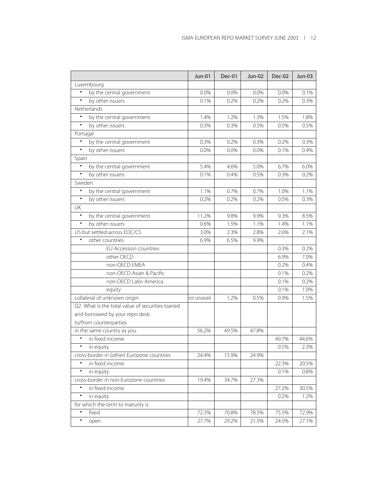|                                                 | Jun-01        | Dec-01 | Jun-02 | Dec-02 | Jun-03 |
|-------------------------------------------------|---------------|--------|--------|--------|--------|
| Luxembourg                                      |               |        |        |        |        |
| by the central government<br>$\bullet$          | 0.0%          | 0.0%   | 0.0%   | 0.0%   | 0.1%   |
| by other issuers<br>$\bullet$                   | 0.1%          | 0.2%   | 0.2%   | 0.2%   | 0.3%   |
| Netherlands                                     |               |        |        |        |        |
| $\bullet$<br>by the central government          | 1.4%          | 1.2%   | 1.3%   | 1.5%   | 1.8%   |
| by other issuers<br>$\bullet$                   | 0.3%          | 0.3%   | 0.5%   | 0.5%   | 0.5%   |
| Portugal                                        |               |        |        |        |        |
| by the central government                       | 0.3%          | 0.2%   | 0.3%   | 0.2%   | 0.3%   |
| by other issuers<br>$\bullet$                   | 0.0%          | 0.0%   | 0.0%   | 0.1%   | 0.4%   |
| Spain                                           |               |        |        |        |        |
| $\bullet$<br>by the central government          | 5.4%          | 4.6%   | 5.0%   | 6.7%   | 6.0%   |
| by other issuers<br>$\bullet$                   | 0.1%          | 0.4%   | 0.5%   | 0.3%   | 0.2%   |
| Sweden                                          |               |        |        |        |        |
| $\bullet$<br>by the central government          | 1.1%          | 0.7%   | 0.7%   | 1.0%   | 1.1%   |
| by other issuers<br>$\bullet$                   | 0.2%          | 0.2%   | 0.2%   | 0.5%   | 0.3%   |
| UK                                              |               |        |        |        |        |
| $\bullet$<br>by the central government          | 11.2%         | 9.8%   | 9.9%   | 9.3%   | 8.5%   |
| by other issuers<br>$\bullet$                   | 0.6%          | 1.5%   | 1.1%   | 1.4%   | 1.1%   |
| US but settled across EOC/CS                    | 3.0%          | 2.3%   | 2.8%   | 2.6%   | 2.1%   |
| other countries                                 | 6.9%          | 6.5%   | 9.9%   |        |        |
| EU Accession countries                          |               |        |        | 0.3%   | 0.2%   |
| other OECD                                      |               |        |        | 6.9%   | 7.0%   |
| non-OECD EMEA                                   |               |        |        | 0.2%   | 0.4%   |
| non-OECD Asian & Pacific                        |               |        |        | 0.1%   | 0.2%   |
| non-OECD Latin America                          |               |        |        | 0.1%   | 0.2%   |
| equity                                          |               |        |        | 0.1%   | 1.0%   |
| collateral of unknown origin                    | not canvassed | 1.2%   | 0.5%   | 0.9%   | 1.5%   |
| Q2 What is the total value of securities loaned |               |        |        |        |        |
| and borrowed by your repo desk:                 |               |        |        |        |        |
| to/from counterparties                          |               |        |        |        |        |
| in the same country as you                      | 56.2%         | 49.5%  | 47.8%  |        |        |
| in fixed income                                 |               |        |        | 49.7%  | 44.6%  |
| $\bullet$<br>in equity                          |               |        |        | 0.5%   | 2.3%   |
| cross-border in (other) Eurozone countries      | 24.4%         | 15.9%  | 24.9%  |        |        |
| $\bullet$<br>in fixed income                    |               |        |        | 22.3%  | 20.5%  |
| $\bullet$<br>in equity                          |               |        |        | 0.1%   | 0.8%   |
| cross-border in non-Eurozone countries          | 19.4%         | 34.7%  | 27.3%  |        |        |
| in fixed income                                 |               |        |        | 27.2%  | 30.5%  |
| $\bullet$<br>in equity                          |               |        |        | 0.2%   | 1.2%   |
| for which the term to maturity is               |               |        |        |        |        |
| $\bullet$<br>fixed                              | 72.3%         | 70.8%  | 78.5%  | 75.5%  | 72.9%  |
| $\bullet$<br>open                               | 27.7%         | 29.2%  | 21.5%  | 24.5%  | 27.1%  |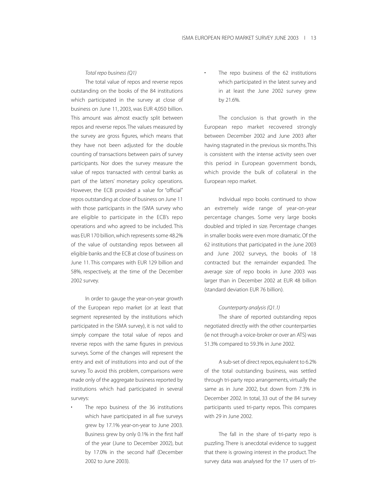#### *Total repo business (Q1)*

The total value of repos and reverse repos outstanding on the books of the 84 institutions which participated in the survey at close of business on June 11, 2003, was EUR 4,050 billion. This amount was almost exactly split between repos and reverse repos. The values measured by the survey are gross figures, which means that they have not been adjusted for the double counting of transactions between pairs of survey participants. Nor does the survey measure the value of repos transacted with central banks as part of the latters' monetary policy operations. However, the ECB provided a value for "official" repos outstanding at close of business on June 11 with those participants in the ISMA survey who are eligible to participate in the ECB's repo operations and who agreed to be included. This was EUR 170 billion, which represents some 48.2% of the value of outstanding repos between all eligible banks and the ECB at close of business on June 11. This compares with EUR 129 billion and 58%, respectively, at the time of the December 2002 survey.

In order to gauge the year-on-year growth of the European repo market (or at least that segment represented by the institutions which participated in the ISMA survey), it is not valid to simply compare the total value of repos and reverse repos with the same figures in previous surveys. Some of the changes will represent the entry and exit of institutions into and out of the survey. To avoid this problem, comparisons were made only of the aggregate business reported by institutions which had participated in several surveys:

The repo business of the 36 institutions which have participated in all five surveys grew by 17.1% year-on-year to June 2003. Business grew by only 0.1% in the first half of the year (June to December 2002), but by 17.0% in the second half (December 2002 to June 2003).

The repo business of the 62 institutions which participated in the latest survey and in at least the June 2002 survey grew by 21.6%.

The conclusion is that growth in the European repo market recovered strongly between December 2002 and June 2003 after having stagnated in the previous six months. This is consistent with the intense activity seen over this period in European government bonds, which provide the bulk of collateral in the European repo market.

Individual repo books continued to show an extremely wide range of year-on-year percentage changes. Some very large books doubled and tripled in size. Percentage changes in smaller books were even more dramatic. Of the 62 institutions that participated in the June 2003 and June 2002 surveys, the books of 18 contracted but the remainder expanded. The average size of repo books in June 2003 was larger than in December 2002 at EUR 48 billion (standard deviation EUR 76 billion).

#### *Counterparty analysis (Q1.1)*

The share of reported outstanding repos negotiated directly with the other counterparties (ie not through a voice-broker or over an ATS) was 51.3% compared to 59.3% in June 2002.

A sub-set of direct repos, equivalent to 6.2% of the total outstanding business, was settled through tri-party repo arrangements, virtually the same as in June 2002, but down from 7.3% in December 2002. In total, 33 out of the 84 survey participants used tri-party repos. This compares with 29 in June 2002.

The fall in the share of tri-party repo is puzzling. There is anecdotal evidence to suggest that there is growing interest in the product. The survey data was analysed for the 17 users of tri-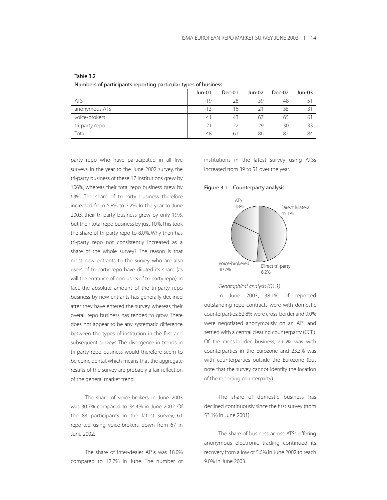| Table 3.2                                                      |               |               |        |        |        |  |
|----------------------------------------------------------------|---------------|---------------|--------|--------|--------|--|
| Numbers of participants reporting particular types of business |               |               |        |        |        |  |
|                                                                | <b>Jun-01</b> | Dec-01        | Jun-02 | Dec-02 | Jun-03 |  |
| ATS                                                            | 19            | 28            | 39     | 48     | 51     |  |
| anonymous ATS                                                  | 13            | 16            | 21     | 35     | 31     |  |
| voice-brokers                                                  | 41            | 43            | 67     | 65     | 61     |  |
| tri-party repo                                                 | 21            | $\mathcal{D}$ | 29     | 30     | 33     |  |
| Total                                                          | 48            | 61            | 86     | 82     | 84     |  |

party repo who have participated in all five surveys. In the year to the June 2002 survey, the tri-party business of these 17 institutions grew by 106%, whereas their total repo business grew by 63%. The share of tri-party business therefore increased from 5.8% to 7.2%. In the year to June 2003, their tri-party business grew by only 19%, but their total repo business by just 10%.This took the share of tri-party repo to 8.0%. Why then has tri-party repo not consistently increased as a share of the whole survey? The reason is that most new entrants to the survey who are also users of tri-party repo have diluted its share (as will the entrance of non-users of tri-party repo). In fact, the absolute amount of the tri-party repo business by new entrants has generally declined after they have entered the survey, whereas their overall repo business has tended to grow. There does not appear to be any systematic difference between the types of institution in the first and subsequent surveys. The divergence in trends in tri-party repo business would therefore seem to be coincidental, which means that the aggregate results of the survey are probably a fair reflection of the general market trend.

The share of voice-brokers in June 2003 was 30.7% compared to 34.4% in June 2002. Of the 84 participants in the latest survey, 61 reported using voice-brokers, down from 67 in June 2002.

The share of inter-dealer ATSs was 18.0% compared to 12.7% in June. The number of institutions in the latest survey using ATSs increased from 39 to 51 over the year.

#### Figure 3.1 – Counterparty analysis



#### *Geographical analysis (Q1.1)*

In June 2003, 38.1% of reported outstanding repo contracts were with domestic counterparties, 52.8% were cross-border and 9.0% were negotiated anonymously on an ATS and settled with a central clearing counterparty (CCP). Of the cross-border business, 29.5% was with counterparties in the Eurozone and 23.3% was with counterparties outside the Eurozone (but note that the survey cannot identify the location of the reporting counterparty).

The share of domestic business has declined continuously since the first survey (from 53.1% in June 2001).

The share of business across ATSs offering anonymous electronic trading continued its recovery from a low of 5.6% in June 2002 to reach 9.0% in June 2003.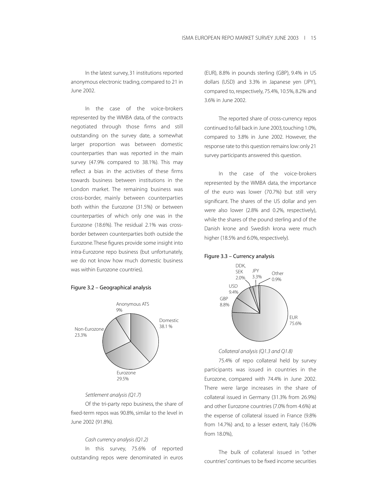In the latest survey, 31 institutions reported anonymous electronic trading, compared to 21 in June 2002.

In the case of the voice-brokers represented by the WMBA data, of the contracts negotiated through those firms and still outstanding on the survey date, a somewhat larger proportion was between domestic counterparties than was reported in the main survey (47.9% compared to 38.1%). This may reflect a bias in the activities of these firms towards business between institutions in the London market. The remaining business was cross-border, mainly between counterparties both within the Eurozone (31.5%) or between counterparties of which only one was in the Eurozone (18.6%). The residual 2.1% was crossborder between counterparties both outside the Eurozone.These figures provide some insight into intra-Eurozone repo business (but unfortunately, we do not know how much domestic business was within Eurozone countries).

#### Figure 3.2 – Geographical analysis



#### *Settlement analysis (Q1.7)*

Of the tri-party repo business, the share of fixed-term repos was 90.8%, similar to the level in June 2002 (91.8%).

#### *Cash currency analysis (Q1.2)*

In this survey, 75.6% of reported outstanding repos were denominated in euros (EUR), 8.8% in pounds sterling (GBP), 9.4% in US dollars (USD) and 3.3% in Japanese yen (JPY), compared to, respectively, 75.4%, 10.5%, 8.2% and 3.6% in June 2002.

The reported share of cross-currency repos continued to fall back in June 2003, touching 1.0%, compared to 3.8% in June 2002. However, the response rate to this question remains low:only 21 survey participants answered this question.

In the case of the voice-brokers represented by the WMBA data, the importance of the euro was lower (70.7%) but still very significant. The shares of the US dollar and yen were also lower (2.8% and 0.2%, respectively), while the shares of the pound sterling and of the Danish krone and Swedish krona were much higher (18.5% and 6.0%, respectively).

#### Figure 3.3 – Currency analysis



#### *Collateral analysis (Q1.3 and Q1.8)*

75.4% of repo collateral held by survey participants was issued in countries in the Eurozone, compared with 74.4% in June 2002. There were large increases in the share of collateral issued in Germany (31.3% from 26.9%) and other Eurozone countries (7.0% from 4.6%) at the expense of collateral issued in France (9.8% from 14.7%) and, to a lesser extent, Italy (16.0% from 18.0%),

The bulk of collateral issued in "other countries"continues to be fixed income securities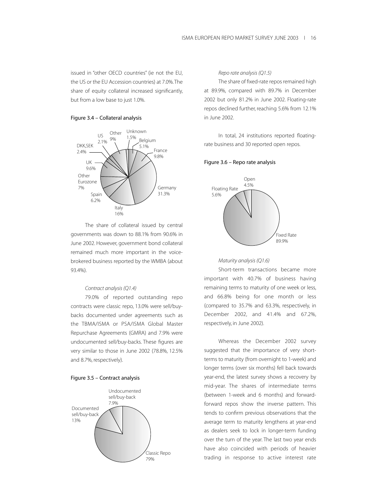issued in "other OECD countries" (ie not the EU, the US or the EU Accession countries) at 7.0%.The share of equity collateral increased significantly, but from a low base to just 1.0%.

#### Figure 3.4 – Collateral analysis



The share of collateral issued by central governments was down to 88.1% from 90.6% in June 2002. However, government bond collateral remained much more important in the voicebrokered business reported by the WMBA (about 93.4%).

### *Contract analysis (Q1.4)*

79.0% of reported outstanding repo contracts were classic repo, 13.0% were sell/buybacks documented under agreements such as the TBMA/ISMA or PSA/ISMA Global Master Repurchase Agreements (GMRA) and 7.9% were undocumented sell/buy-backs. These figures are very similar to those in June 2002 (78.8%, 12.5% and 8.7%, respectively).





#### *Repo rate analysis (Q1.5)*

The share of fixed-rate repos remained high at 89.9%, compared with 89.7% in December 2002 but only 81.2% in June 2002. Floating-rate repos declined further, reaching 5.6% from 12.1% in June 2002.

In total, 24 institutions reported floatingrate business and 30 reported open repos.

#### Figure 3.6 – Repo rate analysis



#### *Maturity analysis (Q1.6)*

Short-term transactions became more important with 40.7% of business having remaining terms to maturity of one week or less, and 66.8% being for one month or less (compared to 35.7% and 63.3%, respectively, in December 2002, and 41.4% and 67.2%, respectively, in June 2002).

Whereas the December 2002 survey suggested that the importance of very shortterms to maturity (from overnight to 1-week) and longer terms (over six months) fell back towards year-end, the latest survey shows a recovery by mid-year. The shares of intermediate terms (between 1-week and 6 months) and forwardforward repos show the inverse pattern. This tends to confirm previous observations that the average term to maturity lengthens at year-end as dealers seek to lock in longer-term funding over the turn of the year. The last two year ends have also coincided with periods of heavier trading in response to active interest rate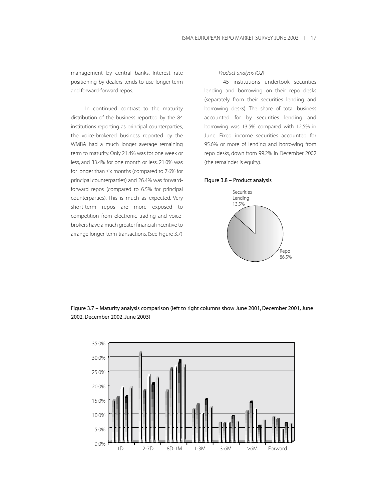management by central banks. Interest rate positioning by dealers tends to use longer-term and forward-forward repos.

In continued contrast to the maturity distribution of the business reported by the 84 institutions reporting as principal counterparties, the voice-brokered business reported by the WMBA had a much longer average remaining term to maturity. Only 21.4% was for one week or less, and 33.4% for one month or less. 21.0% was for longer than six months (compared to 7.6% for principal counterparties) and 26.4% was forwardforward repos (compared to 6.5% for principal counterparties). This is much as expected. Very short-term repos are more exposed to competition from electronic trading and voicebrokers have a much greater financial incentive to arrange longer-term transactions. (See Figure 3.7)

#### *Product analysis (Q2)*

45 institutions undertook securities lending and borrowing on their repo desks (separately from their securities lending and borrowing desks). The share of total business accounted for by securities lending and borrowing was 13.5% compared with 12.5% in June. Fixed income securities accounted for 95.6% or more of lending and borrowing from repo desks, down from 99.2% in December 2002 (the remainder is equity).

#### Figure 3.8 – Product analysis



Figure 3.7 – Maturity analysis comparison (left to right columns show June 2001, December 2001, June 2002, December 2002, June 2003)

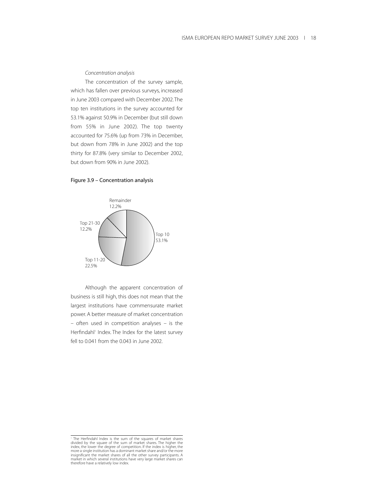#### *Concentration analysis*

The concentration of the survey sample, which has fallen over previous surveys, increased in June 2003 compared with December 2002.The top ten institutions in the survey accounted for 53.1% against 50.9% in December (but still down from 55% in June 2002). The top twenty accounted for 75.6% (up from 73% in December, but down from 78% in June 2002) and the top thirty for 87.8% (very similar to December 2002, but down from 90% in June 2002).

## Figure 3.9 – Concentration analysis



Although the apparent concentration of business is still high, this does not mean that the largest institutions have commensurate market power. A better measure of market concentration – often used in competition analyses – is the Herfindahl<sup>1</sup> Index. The Index for the latest survey fell to 0.041 from the 0.043 in June 2002.

<sup>&</sup>lt;sup>1</sup> The Herfindahl Index is the sum of the squares of market shares<br>divided by the square of the sum of market shares. The higher the<br>index, the lower the degree of competition. If the index is higher, the<br>more a single in therefore have a relatively low index.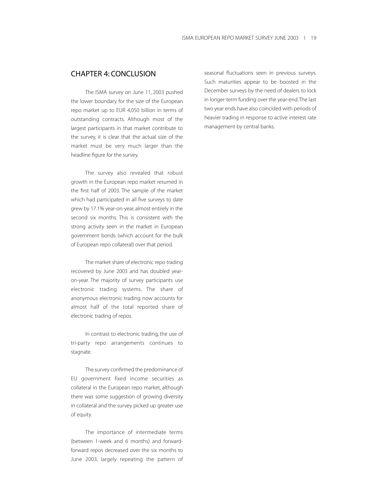## CHAPTER 4: CONCLUSION

The ISMA survey on June 11, 2003 pushed the lower boundary for the size of the European repo market up to EUR 4,050 billion in terms of outstanding contracts. Although most of the largest participants in that market contribute to the survey, it is clear that the actual size of the market must be very much larger than the headline figure for the survey.

The survey also revealed that robust growth in the European repo market resumed in the first half of 2003. The sample of the market which had participated in all five surveys to date grew by 17.1% year-on-year, almost entirely in the second six months. This is consistent with the strong activity seen in the market in European government bonds (which account for the bulk of European repo collateral) over that period.

The market share of electronic repo trading recovered by June 2003 and has doubled yearon-year. The majority of survey participants use electronic trading systems. The share of anonymous electronic trading now accounts for almost half of the total reported share of electronic trading of repos.

In contrast to electronic trading, the use of tri-party repo arrangements continues to stagnate.

The survey confirmed the predominance of EU government fixed income securities as collateral in the European repo market, although there was some suggestion of growing diversity in collateral and the survey picked up greater use of equity.

The importance of intermediate terms (between 1-week and 6 months) and forwardforward repos decreased over the six months to June 2003, largely repeating the pattern of seasonal fluctuations seen in previous surveys. Such maturities appear to be boosted in the December surveys by the need of dealers to lock in longer-term funding over the year-end.The last two year ends have also coincided with periods of heavier trading in response to active interest rate management by central banks.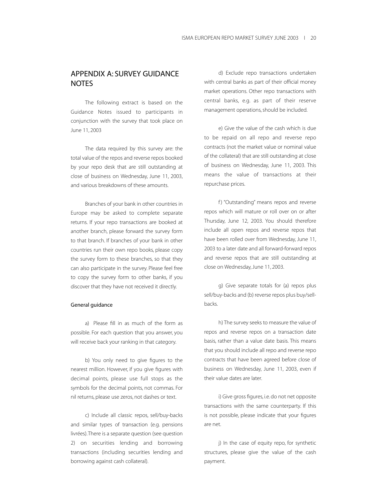## APPENDIX A: SURVEY GUIDANCE **NOTES**

The following extract is based on the Guidance Notes issued to participants in conjunction with the survey that took place on June 11, 2003

The data required by this survey are: the total value of the repos and reverse repos booked by your repo desk that are still outstanding at close of business on Wednesday, June 11, 2003, and various breakdowns of these amounts.

Branches of your bank in other countries in Europe may be asked to complete separate returns. If your repo transactions are booked at another branch, please forward the survey form to that branch. If branches of your bank in other countries run their own repo books, please copy the survey form to these branches, so that they can also participate in the survey. Please feel free to copy the survey form to other banks, if you discover that they have not received it directly.

#### General guidance

a) Please fill in as much of the form as possible. For each question that you answer, you will receive back your ranking in that category.

b) You only need to give figures to the nearest million. However, if you give figures with decimal points, please use full stops as the symbols for the decimal points, not commas. For nil returns, please use zeros, not dashes or text.

c) Include all classic repos, sell/buy-backs and similar types of transaction (e.g. pensions livrées).There is a separate question (see question 2) on securities lending and borrowing transactions (including securities lending and borrowing against cash collateral).

d) Exclude repo transactions undertaken with central banks as part of their official money market operations. Other repo transactions with central banks, e.g. as part of their reserve management operations, should be included.

e) Give the value of the cash which is due to be repaid on all repo and reverse repo contracts (not the market value or nominal value of the collateral) that are still outstanding at close of business on Wednesday, June 11, 2003. This means the value of transactions at their repurchase prices.

f) "Outstanding" means repos and reverse repos which will mature or roll over on or after Thursday, June 12, 2003. You should therefore include all open repos and reverse repos that have been rolled over from Wednesday, June 11, 2003 to a later date and all forward-forward repos and reverse repos that are still outstanding at close on Wednesday, June 11, 2003.

g) Give separate totals for (a) repos plus sell/buy-backs and (b) reverse repos plus buy/sellbacks.

h) The survey seeks to measure the value of repos and reverse repos on a transaction date basis, rather than a value date basis. This means that you should include all repo and reverse repo contracts that have been agreed before close of business on Wednesday, June 11, 2003, even if their value dates are later.

i) Give gross figures, i.e. do not net opposite transactions with the same counterparty. If this is not possible, please indicate that your figures are net.

j) In the case of equity repo, for synthetic structures, please give the value of the cash payment.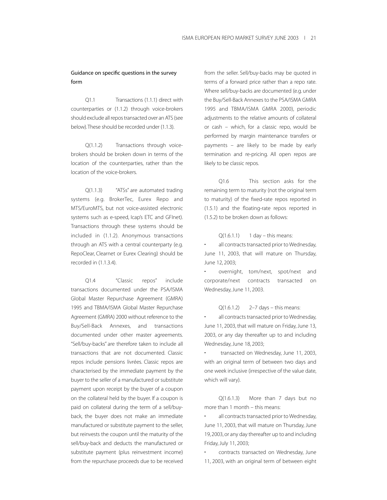## Guidance on specific questions in the survey form

Q1.1 Transactions (1.1.1) direct with counterparties or (1.1.2) through voice-brokers should exclude all repos transacted over an ATS (see below).These should be recorded under (1.1.3).

Q(1.1.2) Transactions through voicebrokers should be broken down in terms of the location of the counterparties, rather than the location of the voice-brokers.

Q(1.1.3) "ATSs" are automated trading systems (e.g. BrokerTec, Eurex Repo and MTS/EuroMTS, but not voice-assisted electronic systems such as e-speed, Icap's ETC and GFInet). Transactions through these systems should be included in (1.1.2). Anonymous transactions through an ATS with a central counterparty (e.g. RepoClear, Clearnet or Eurex Clearing) should be recorded in (1.1.3.4).

Q1.4 "Classic repos" include transactions documented under the PSA/ISMA Global Master Repurchase Agreement (GMRA) 1995 and TBMA/ISMA Global Master Repurchase Agreement (GMRA) 2000 without reference to the Buy/Sell-Back Annexes, and transactions documented under other master agreements. "Sell/buy-backs" are therefore taken to include all transactions that are not documented. Classic repos include pensions livrées. Classic repos are characterised by the immediate payment by the buyer to the seller of a manufactured or substitute payment upon receipt by the buyer of a coupon on the collateral held by the buyer. If a coupon is paid on collateral during the term of a sell/buyback, the buyer does not make an immediate manufactured or substitute payment to the seller, but reinvests the coupon until the maturity of the sell/buy-back and deducts the manufactured or substitute payment (plus reinvestment income) from the repurchase proceeds due to be received from the seller. Sell/buy-backs may be quoted in terms of a forward price rather than a repo rate. Where sell/buy-backs are documented (e.g. under the Buy/Sell-Back Annexes to the PSA/ISMA GMRA 1995 and TBMA/ISMA GMRA 2000), periodic adjustments to the relative amounts of collateral or cash – which, for a classic repo, would be performed by margin maintenance transfers or payments – are likely to be made by early termination and re-pricing. All open repos are likely to be classic repos.

Q1.6 This section asks for the remaining term to maturity (not the original term to maturity) of the fixed-rate repos reported in (1.5.1) and the floating-rate repos reported in (1.5.2) to be broken down as follows:

 $Q(1.6.1.1)$  1 day – this means:

all contracts transacted prior to Wednesday, June 11, 2003, that will mature on Thursday, June 12, 2003;

• overnight, tom/next, spot/next and corporate/next contracts transacted on Wednesday, June 11, 2003.

 $Q(1.6.1.2)$  2–7 days – this means:

all contracts transacted prior to Wednesday, June 11, 2003, that will mature on Friday, June 13, 2003, or any day thereafter up to and including Wednesday, June 18, 2003;

• transacted on Wednesday, June 11, 2003, with an original term of between two days and one week inclusive (irrespective of the value date, which will vary).

Q(1.6.1.3) More than 7 days but no more than 1 month – this means:

all contracts transacted prior to Wednesday, June 11, 2003, that will mature on Thursday, June 19, 2003, or any day thereafter up to and including Friday, July 11, 2003;

• contracts transacted on Wednesday, June 11, 2003, with an original term of between eight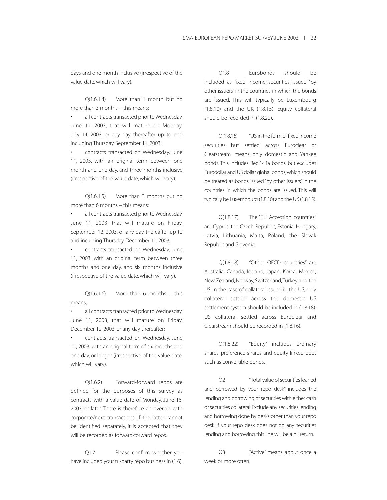days and one month inclusive (irrespective of the value date, which will vary).

Q(1.6.1.4) More than 1 month but no more than 3 months – this means:

all contracts transacted prior to Wednesday, June 11, 2003, that will mature on Monday, July 14, 2003, or any day thereafter up to and including Thursday, September 11, 2003;

• contracts transacted on Wednesday, June 11, 2003, with an original term between one month and one day, and three months inclusive (irrespective of the value date, which will vary).

Q(1.6.1.5) More than 3 months but no more than 6 months – this means:

all contracts transacted prior to Wednesday, June 11, 2003, that will mature on Friday, September 12, 2003, or any day thereafter up to and including Thursday, December 11, 2003;

• contracts transacted on Wednesday, June 11, 2003, with an original term between three months and one day, and six months inclusive (irrespective of the value date, which will vary).

Q(1.6.1.6) More than 6 months – this means;

• all contracts transacted prior to Wednesday, June 11, 2003, that will mature on Friday, December 12, 2003, or any day thereafter;

• contracts transacted on Wednesday, June 11, 2003, with an original term of six months and one day, or longer (irrespective of the value date, which will vary).

Q(1.6.2) Forward-forward repos are defined for the purposes of this survey as contracts with a value date of Monday, June 16, 2003, or later. There is therefore an overlap with corporate/next transactions. If the latter cannot be identified separately, it is accepted that they will be recorded as forward-forward repos.

Q1.7 Please confirm whether you have included your tri-party repo business in (1.6).

Q1.8 Eurobonds should be included as fixed income securities issued "by other issuers" in the countries in which the bonds are issued. This will typically be Luxembourg (1.8.10) and the UK (1.8.15). Equity collateral should be recorded in (1.8.22).

Q(1.8.16) "US in the form of fixed income securities but settled across Euroclear or Clearstream" means only domestic and Yankee bonds. This includes Reg.144a bonds, but excludes Eurodollar and US dollar global bonds,which should be treated as bonds issued "by other issuers" in the countries in which the bonds are issued. This will typically be Luxembourg (1.8.10) and the UK (1.8.15).

Q(1.8.17) The "EU Accession countries" are Cyprus, the Czech Republic, Estonia, Hungary, Latvia, Lithuania, Malta, Poland, the Slovak Republic and Slovenia.

Q(1.8.18) "Other OECD countries" are Australia, Canada, Iceland, Japan, Korea, Mexico, New Zealand, Norway, Switzerland,Turkey and the US. In the case of collateral issued in the US, only collateral settled across the domestic US settlement system should be included in (1.8.18). US collateral settled across Euroclear and Clearstream should be recorded in (1.8.16).

Q(1.8.22) "Equity" includes ordinary shares, preference shares and equity-linked debt such as convertible bonds.

Q2 "Total value of securities loaned and borrowed by your repo desk" includes the lending and borrowing of securities with either cash or securities collateral.Exclude any securities lending and borrowing done by desks other than your repo desk. If your repo desk does not do any securities lending and borrowing, this line will be a nil return.

Q3 "Active" means about once a week or more often.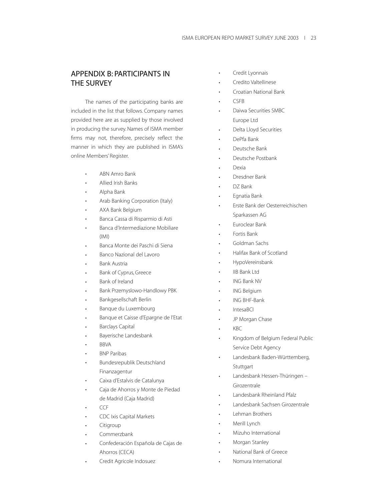## APPENDIX B: PARTICIPANTS IN THE SURVEY

The names of the participating banks are included in the list that follows. Company names provided here are as supplied by those involved in producing the survey. Names of ISMA member firms may not, therefore, precisely reflect the manner in which they are published in ISMA's online Members' Register.

- ABN Amro Bank
- Allied Irish Banks
- Alpha Bank
- Arab Banking Corporation (Italy)
- AXA Bank Belgium
- Banca Cassa di Risparmio di Asti
- Banca d'Intermediazione Mobiliare (IMI)
- Banca Monte dei Paschi di Siena
- Banco Nazional del Lavoro
- Bank Austria
- Bank of Cyprus, Greece
- Bank of Ireland
- Bank Przemyslowo-Handlowy PBK
- Bankgesellschaft Berlin
- Banque du Luxembourg
- Banque et Caisse d'Epargne de l'Etat
- Barclays Capital
- Bayerische Landesbank
- BBVA
- BNP Paribas
- Bundesrepublik Deutschland Finanzagentur
- Caixa d'Estalvis de Catalunya
- Caja de Ahorros y Monte de Piedad de Madrid (Caja Madrid)
- CCF
- CDC Ixis Capital Markets
- **Citigroup**
- Commerzbank
- Confederación Española de Cajas de Ahorros (CECA)
- Credit Agricole Indosuez
- Credit Lyonnais
- Credito Valtellinese
- Croatian National Bank
- CSFB
- Daiwa Securities SMBC Europe Ltd
- Delta Lloyd Securities
- DePfa Bank
- Deutsche Bank
- Deutsche Postbank
- Dexia
- Dresdner Bank
- DZ Bank
- Egnatia Bank
- Erste Bank der Oesterreichischen Sparkassen AG
- Euroclear Bank
- Fortis Bank
- Goldman Sachs
- Halifax Bank of Scotland
- HypoVereinsbank
- IIB Bank Ltd
- ING Bank NV
- ING Belgium
- ING BHF-Bank
- IntesaBCI
- JP Morgan Chase
- KBC
- Kingdom of Belgium Federal Public Service Debt Agency
- Landesbank Baden-Württemberg, **Stuttgart**
- Landesbank Hessen-Thüringen Girozentrale
- Landesbank Rheinland Pfalz
- Landesbank Sachsen Girozentrale
- Lehman Brothers
- Merill Lynch
- Mizuho International
- Morgan Stanley
- National Bank of Greece
- Nomura International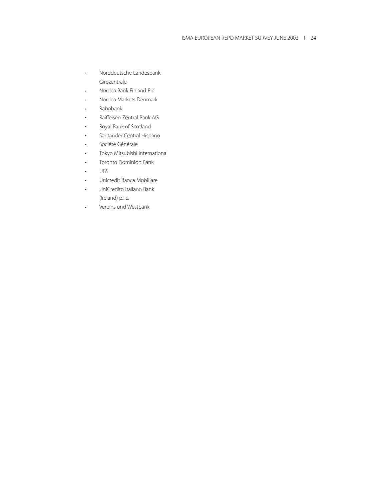- Norddeutsche Landesbank Girozentrale
- Nordea Bank Finland Plc
- Nordea Markets Denmark
- Rabobank
- Raiffeisen Zentral Bank AG
- Royal Bank of Scotland
- Santander Central Hispano
- Société Générale
- Tokyo Mitsubishi International
- Toronto Dominion Bank
- UBS
- Unicredit Banca Mobiliare
- UniCredito Italiano Bank (Ireland) p.l.c.
- Vereins und Westbank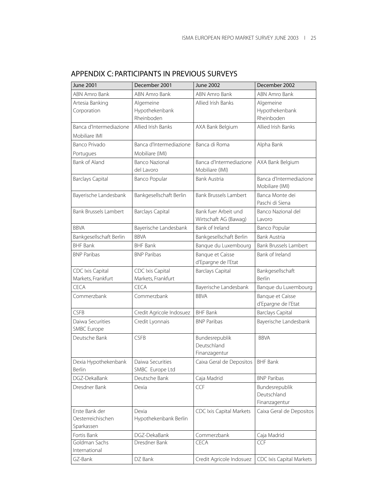| <b>June 2001</b>                    | December 2001                  | <b>June 2002</b>                    | December 2002                              |  |
|-------------------------------------|--------------------------------|-------------------------------------|--------------------------------------------|--|
| ABN Amro Bank                       | ABN Amro Bank                  | ABN Amro Bank                       | ABN Amro Bank                              |  |
| Artesia Banking                     | Algemeine                      | Allied Irish Banks                  | Algemeine                                  |  |
| Corporation                         | Hypothekenbank                 |                                     | Hypothekenbank                             |  |
|                                     | Rheinboden                     |                                     | Rheinboden                                 |  |
| Banca d'Intermediazione             | Allied Irish Banks             | AXA Bank Belgium                    | Allied Irish Banks                         |  |
| Mobiliare IMI                       |                                |                                     |                                            |  |
| Banco Privado                       | Banca d'Intermediazione        | Banca di Roma                       | Alpha Bank                                 |  |
| Portugues                           | Mobiliare (IMI)                |                                     |                                            |  |
| Bank of Aland                       | <b>Banco Nazional</b>          | Banca d'Intermediazione             | AXA Bank Belgium                           |  |
|                                     | del Lavoro                     | Mobiliare (IMI)                     |                                            |  |
| <b>Barclays Capital</b>             | Banco Popular                  | Bank Austria                        | Banca d'Intermediazione<br>Mobiliare (IMI) |  |
| Bayerische Landesbank               | Bankgesellschaft Berlin        | Bank Brussels Lambert               | Banca Monte dei                            |  |
|                                     |                                |                                     | Paschi di Siena                            |  |
| Bank Brussels Lambert               | <b>Barclays Capital</b>        | Bank fuer Arbeit und                | Banco Nazional del                         |  |
|                                     |                                | Wirtschaft AG (Bawag)               | Lavoro                                     |  |
| <b>BBVA</b>                         | Bayerische Landesbank          | Bank of Ireland                     | Banco Popular                              |  |
| Bankgesellschaft Berlin             | <b>BBVA</b>                    | Bankgesellschaft Berlin             | <b>Bank Austria</b>                        |  |
| <b>BHF Bank</b>                     | <b>BHF Bank</b>                | Banque du Luxembourg                | Bank Brussels Lambert                      |  |
| <b>BNP Paribas</b>                  | <b>BNP Paribas</b>             | Banque et Caisse                    | Bank of Ireland                            |  |
|                                     |                                | d'Epargne de l'Etat                 |                                            |  |
| CDC Ixis Capital                    | CDC Ixis Capital               | <b>Barclays Capital</b>             | Bankgesellschaft                           |  |
| Markets, Frankfurt                  | Markets, Frankfurt             |                                     | Berlin                                     |  |
| CECA                                | <b>CECA</b>                    | Bayerische Landesbank               | Banque du Luxembourg                       |  |
| Commerzbank                         | Commerzbank                    | <b>BBVA</b>                         | Banque et Caisse<br>d'Epargne de l'Etat    |  |
| <b>CSFB</b>                         | Credit Agricole Indosuez       | <b>BHF Bank</b>                     | <b>Barclays Capital</b>                    |  |
| Daiwa Securities<br>SMBC Europe     | Credit Lyonnais                | <b>BNP Paribas</b>                  | Bayerische Landesbank                      |  |
| Deutsche Bank                       | <b>CSFB</b>                    | Bundesrepublik                      | <b>BBVA</b>                                |  |
|                                     |                                | Deutschland                         |                                            |  |
|                                     |                                | Finanzagentur                       |                                            |  |
| Dexia Hypothekenbank                | Daiwa Securities               | Caixa Geral de Depositos   BHF Bank |                                            |  |
| Berlin                              | SMBC Europe Ltd                |                                     |                                            |  |
| DGZ-DekaBank                        | Deutsche Bank                  | Caja Madrid                         | <b>BNP Paribas</b>                         |  |
| Dresdner Bank                       | Dexia                          | <b>CCF</b>                          | Bundesrepublik                             |  |
|                                     |                                |                                     | Deutschland                                |  |
|                                     |                                |                                     | Finanzagentur                              |  |
| Erste Bank der<br>Oesterreichischen | Dexia<br>Hypothekenbank Berlin | CDC Ixis Capital Markets            | Caixa Geral de Depositos                   |  |
| Sparkassen                          |                                |                                     |                                            |  |
| Fortis Bank                         | DGZ-DekaBank                   | Commerzbank                         | Caja Madrid                                |  |
| Goldman Sachs                       | Dresdner Bank                  | CECA                                | <b>CCF</b>                                 |  |
| International                       |                                |                                     |                                            |  |
| GZ-Bank                             | DZ Bank                        | Credit Agricole Indosuez            | CDC Ixis Capital Markets                   |  |

# APPENDIX C: PARTICIPANTS IN PREVIOUS SURVEYS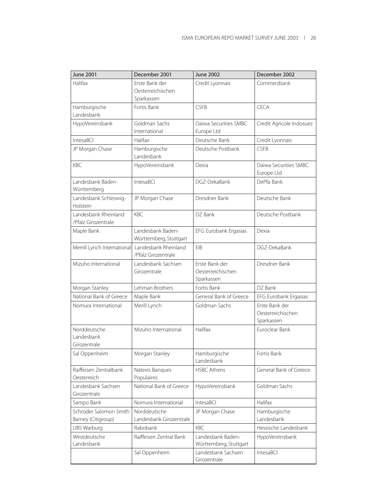| <b>June 2001</b>                             | December 2001                                     | <b>June 2002</b>                                  | December 2002                                     |
|----------------------------------------------|---------------------------------------------------|---------------------------------------------------|---------------------------------------------------|
| Halifax                                      | Erste Bank der<br>Oesterreichischen<br>Sparkassen | Credit Lyonnais                                   | Commerzbank                                       |
| Hamburgische<br>Landesbank                   | Fortis Bank                                       | <b>CSFB</b>                                       | CFCA                                              |
| HypoVereinsbank                              | Goldman Sachs<br>International                    | Daiwa Securities SMBC<br>Europe Ltd               | Credit Agricole Indosuez                          |
| IntesaBCI                                    | Halifax                                           | Deutsche Bank                                     | Credit Lyonnais                                   |
| JP Morgan Chase                              | Hamburgische<br>Landesbank                        | Deutsche Postbank                                 | <b>CSFB</b>                                       |
| <b>KBC</b>                                   | HypoVereinsbank                                   | Dexia                                             | Daiwa Securities SMBC<br>Europe Ltd               |
| Landesbank Baden-<br>Württemberg             | IntesaBCI                                         | DGZ-DekaBank                                      | DePfa Bank                                        |
| Landesbank Schleswig-<br>Holstein            | JP Morgan Chase                                   | Dresdner Bank                                     | Deutsche Bank                                     |
| Landesbank Rheinland<br>/Pfalz Girozentrale  | <b>KBC</b>                                        | DZ Bank                                           | Deutsche Postbank                                 |
| Maple Bank                                   | Landesbank Baden-<br>Württemberg, Stuttgart       | EFG Eurobank Ergasias                             | Dexia                                             |
| Merrill Lynch International                  | Landesbank Rheinland<br>/Pfalz Girozentrale       | EIB                                               | DGZ-DekaBank                                      |
| Mizuho International                         | Landesbank Sachsen<br>Girozentrale                | Erste Bank der<br>Oesterreichischen<br>Sparkassen | Dresdner Bank                                     |
| Morgan Stanley                               | Lehman Brothers                                   | Fortis Bank                                       | DZ Bank                                           |
| National Bank of Greece                      | Maple Bank                                        | General Bank of Greece                            | EFG Eurobank Ergasias                             |
| Nomura International                         | Merill Lynch                                      | Goldman Sachs                                     | Erste Bank der<br>Oesterreichischen<br>Sparkassen |
| Norddeutsche<br>Landesbank<br>Girozentrale   | Mizuho International                              | Halifax                                           | Euroclear Bank                                    |
| Sal Oppenheim                                | Morgan Stanley                                    | Hamburgische<br>Landesbank                        | Fortis Bank                                       |
| Raiffeisen Zentralbank<br>Oesterreich        | Natexis Banques<br>Populaires                     | <b>HSBC Athens</b>                                | General Bank of Greece                            |
| Landesbank Sachsen<br>Girozentrale           | National Bank of Greece                           | HypoVereinsbank                                   | Goldman Sachs                                     |
| Sampo Bank                                   | Nomura International                              | IntesaBCI                                         | Halifax                                           |
| Schroder Salomon Smith<br>Barney (Citigroup) | Norddeutsche<br>Landesbank Girozentrale           | JP Morgan Chase                                   | Hamburgische<br>Landesbank                        |
| <b>UBS Warburg</b>                           | Rabobank                                          | <b>KBC</b>                                        | Hessische Landesbank                              |
| Westdeutsche<br>Landesbank                   | Raiffeisen Zentral Bank                           | Landesbank Baden-<br>Württemberg, Stuttgart       | HypoVereinsbank                                   |
|                                              | Sal Oppenheim                                     | Landesbank Sachsen<br>Girozentrale                | IntesaBCI                                         |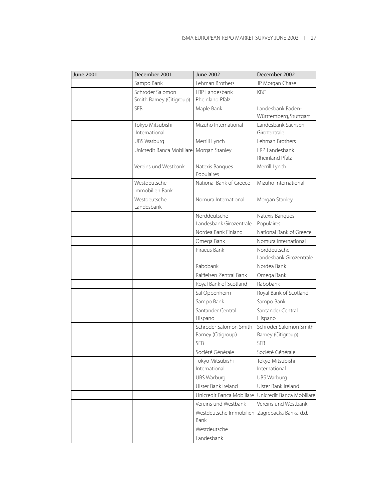| <b>June 2001</b> | December 2001                   | <b>June 2002</b>                             | December 2002                                |
|------------------|---------------------------------|----------------------------------------------|----------------------------------------------|
|                  | Sampo Bank                      | Lehman Brothers                              | JP Morgan Chase                              |
|                  | Schroder Salomon                | LRP Landesbank                               | KBC.                                         |
|                  | Smith Barney (Citigroup)        | Rheinland Pfalz                              |                                              |
|                  | <b>SEB</b>                      | Maple Bank                                   | Landesbank Baden-                            |
|                  |                                 |                                              | Württemberg, Stuttgart                       |
|                  | Tokyo Mitsubishi                | Mizuho International                         | Landesbank Sachsen                           |
|                  | International                   |                                              | Girozentrale                                 |
|                  | <b>UBS Warburg</b>              | Merrill Lynch                                | Lehman Brothers                              |
|                  | Unicredit Banca Mobiliare       | Morgan Stanley                               | I RP Landesbank                              |
|                  |                                 |                                              | Rheinland Pfalz                              |
|                  | Vereins und Westbank            | Natexis Banques<br>Populaires                | Merrill Lynch                                |
|                  | Westdeutsche<br>Immobilien Bank | National Bank of Greece                      | Mizuho International                         |
|                  | Westdeutsche<br>Landesbank      | Nomura International                         | Morgan Stanley                               |
|                  |                                 | Norddeutsche                                 | Natexis Banques                              |
|                  |                                 | Landesbank Girozentrale                      | Populaires                                   |
|                  |                                 | Nordea Bank Finland                          | National Bank of Greece                      |
|                  |                                 | Omega Bank                                   | Nomura International                         |
|                  |                                 | Piraeus Bank                                 | Norddeutsche                                 |
|                  |                                 |                                              | Landesbank Girozentrale                      |
|                  |                                 | Rabobank                                     | Nordea Bank                                  |
|                  |                                 | Raiffeisen Zentral Bank                      | Omega Bank                                   |
|                  |                                 | Royal Bank of Scotland                       | Rabobank                                     |
|                  |                                 | Sal Oppenheim                                | Royal Bank of Scotland                       |
|                  |                                 | Sampo Bank                                   | Sampo Bank                                   |
|                  |                                 | Santander Central                            | Santander Central                            |
|                  |                                 | Hispano                                      | Hispano                                      |
|                  |                                 | Schroder Salomon Smith<br>Barney (Citigroup) | Schroder Salomon Smith<br>Barney (Citigroup) |
|                  |                                 | SEB                                          | <b>SEB</b>                                   |
|                  |                                 | Société Générale                             | Société Générale                             |
|                  |                                 | Tokyo Mitsubishi                             | Tokyo Mitsubishi                             |
|                  |                                 | International                                | International                                |
|                  |                                 | <b>UBS Warburg</b>                           | UBS Warburg                                  |
|                  |                                 | Ulster Bank Ireland                          | Ulster Bank Ireland                          |
|                  |                                 | Unicredit Banca Mobiliare                    | Unicredit Banca Mobiliare                    |
|                  |                                 | Vereins und Westbank                         | Vereins und Westbank                         |
|                  |                                 | Westdeutsche Immobilien<br>Bank              | Zagrebacka Banka d.d.                        |
|                  |                                 | Westdeutsche                                 |                                              |
|                  |                                 | Landesbank                                   |                                              |